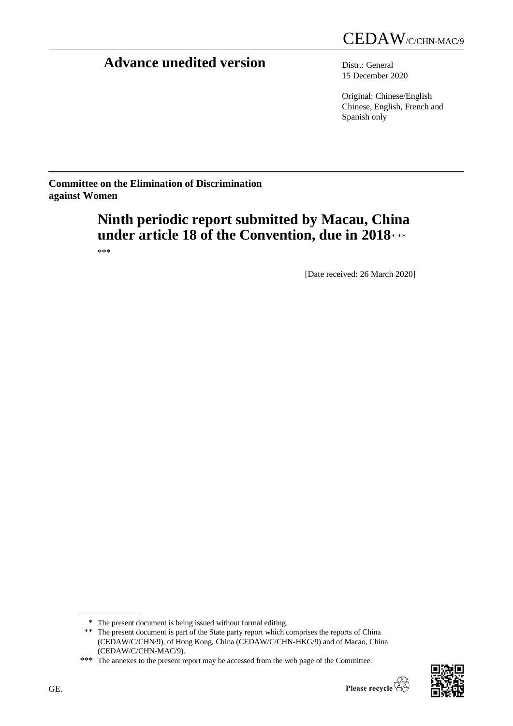# **Advance unedited version** Distr.: General

15 December 2020

Original: Chinese/English Chinese, English, French and Spanish only

**Committee on the Elimination of Discrimination against Women**

# **Ninth periodic report submitted by Macau, China under article 18 of the Convention, due in 2018**\* \*\*

\*\*\*

[Date received: 26 March 2020]



<sup>\*</sup> The present document is being issued without formal editing.

<sup>\*\*</sup> The present document is part of the State party report which comprises the reports of China (CEDAW/C/CHN/9), of Hong Kong, China (CEDAW/C/CHN-HKG/9) and of Macao, China (CEDAW/C/CHN-MAC/9).

<sup>\*\*\*</sup> The annexes to the present report may be accessed from the web page of the Committee.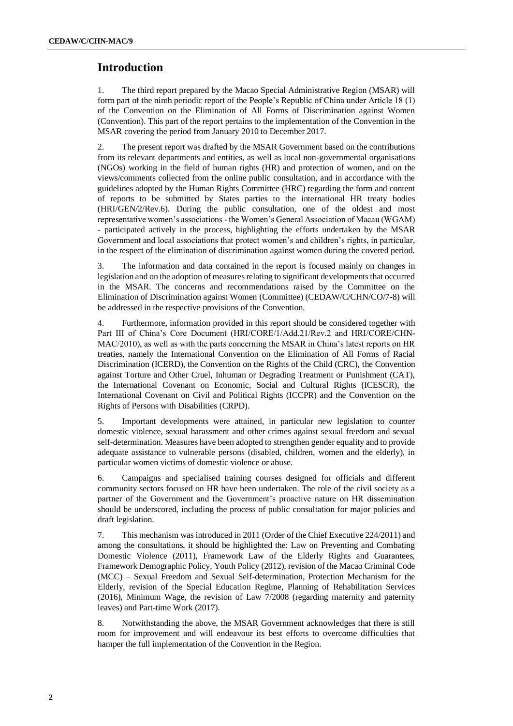#### **Introduction**

1. The third report prepared by the Macao Special Administrative Region (MSAR) will form part of the ninth periodic report of the People's Republic of China under Article 18 (1) of the Convention on the Elimination of All Forms of Discrimination against Women (Convention). This part of the report pertains to the implementation of the Convention in the MSAR covering the period from January 2010 to December 2017.

2. The present report was drafted by the MSAR Government based on the contributions from its relevant departments and entities, as well as local non-governmental organisations (NGOs) working in the field of human rights (HR) and protection of women, and on the views/comments collected from the online public consultation, and in accordance with the guidelines adopted by the Human Rights Committee (HRC) regarding the form and content of reports to be submitted by States parties to the international HR treaty bodies (HRI/GEN/2/Rev.6). During the public consultation, one of the oldest and most representative women's associations - the Women's General Association of Macau (WGAM) - participated actively in the process, highlighting the efforts undertaken by the MSAR Government and local associations that protect women's and children's rights, in particular, in the respect of the elimination of discrimination against women during the covered period.

3. The information and data contained in the report is focused mainly on changes in legislation and on the adoption of measures relating to significant developments that occurred in the MSAR. The concerns and recommendations raised by the Committee on the Elimination of Discrimination against Women (Committee) (CEDAW/C/CHN/CO/7-8) will be addressed in the respective provisions of the Convention.

4. Furthermore, information provided in this report should be considered together with Part III of China's Core Document (HRI/CORE/1/Add.21/Rev.2 and HRI/CORE/CHN-MAC/2010), as well as with the parts concerning the MSAR in China's latest reports on HR treaties, namely the International Convention on the Elimination of All Forms of Racial Discrimination (ICERD), the Convention on the Rights of the Child (CRC), the Convention against Torture and Other Cruel, Inhuman or Degrading Treatment or Punishment (CAT), the International Covenant on Economic, Social and Cultural Rights (ICESCR), the International Covenant on Civil and Political Rights (ICCPR) and the Convention on the Rights of Persons with Disabilities (CRPD).

5. Important developments were attained, in particular new legislation to counter domestic violence, sexual harassment and other crimes against sexual freedom and sexual self-determination. Measures have been adopted to strengthen gender equality and to provide adequate assistance to vulnerable persons (disabled, children, women and the elderly), in particular women victims of domestic violence or abuse.

6. Campaigns and specialised training courses designed for officials and different community sectors focused on HR have been undertaken. The role of the civil society as a partner of the Government and the Government's proactive nature on HR dissemination should be underscored, including the process of public consultation for major policies and draft legislation.

7. This mechanism was introduced in 2011 (Order of the Chief Executive 224/2011) and among the consultations, it should be highlighted the: Law on Preventing and Combating Domestic Violence (2011), Framework Law of the Elderly Rights and Guarantees, Framework Demographic Policy, Youth Policy (2012), revision of the Macao Criminal Code (MCC) – Sexual Freedom and Sexual Self-determination, Protection Mechanism for the Elderly, revision of the Special Education Regime, Planning of Rehabilitation Services (2016), Minimum Wage, the revision of Law 7/2008 (regarding maternity and paternity leaves) and Part-time Work (2017).

8. Notwithstanding the above, the MSAR Government acknowledges that there is still room for improvement and will endeavour its best efforts to overcome difficulties that hamper the full implementation of the Convention in the Region.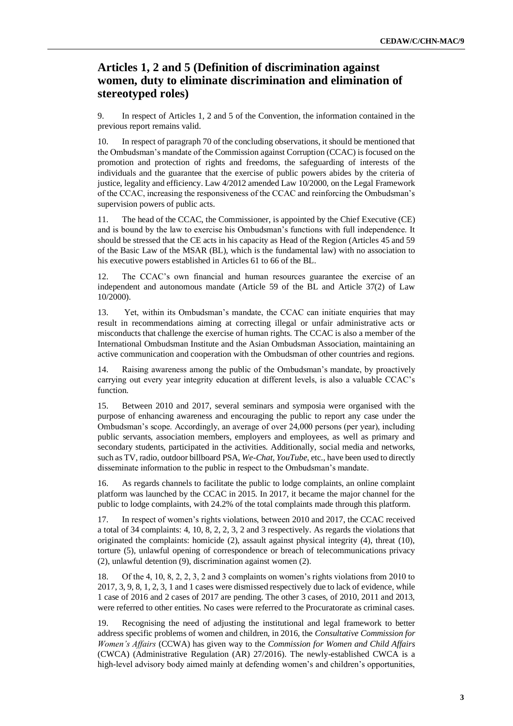# **Articles 1, 2 and 5 (Definition of discrimination against women, duty to eliminate discrimination and elimination of stereotyped roles)**

9. In respect of Articles 1, 2 and 5 of the Convention, the information contained in the previous report remains valid.

10. In respect of paragraph 70 of the concluding observations, it should be mentioned that the Ombudsman's mandate of the Commission against Corruption (CCAC) is focused on the promotion and protection of rights and freedoms, the safeguarding of interests of the individuals and the guarantee that the exercise of public powers abides by the criteria of justice, legality and efficiency. Law 4/2012 amended Law 10/2000, on the Legal Framework of the CCAC, increasing the responsiveness of the CCAC and reinforcing the Ombudsman's supervision powers of public acts.

11. The head of the CCAC, the Commissioner, is appointed by the Chief Executive (CE) and is bound by the law to exercise his Ombudsman's functions with full independence. It should be stressed that the CE acts in his capacity as Head of the Region (Articles 45 and 59 of the Basic Law of the MSAR (BL), which is the fundamental law) with no association to his executive powers established in Articles 61 to 66 of the BL.

12. The CCAC's own financial and human resources guarantee the exercise of an independent and autonomous mandate (Article 59 of the BL and Article 37(2) of Law 10/2000).

13. Yet, within its Ombudsman's mandate, the CCAC can initiate enquiries that may result in recommendations aiming at correcting illegal or unfair administrative acts or misconducts that challenge the exercise of human rights. The CCAC is also a member of the International Ombudsman Institute and the Asian Ombudsman Association, maintaining an active communication and cooperation with the Ombudsman of other countries and regions.

14. Raising awareness among the public of the Ombudsman's mandate, by proactively carrying out every year integrity education at different levels, is also a valuable CCAC's function.

15. Between 2010 and 2017, several seminars and symposia were organised with the purpose of enhancing awareness and encouraging the public to report any case under the Ombudsman's scope. Accordingly, an average of over 24,000 persons (per year), including public servants, association members, employers and employees, as well as primary and secondary students, participated in the activities. Additionally, social media and networks, such as TV, radio, outdoor billboard PSA, *We-Chat, YouTube*, etc., have been used to directly disseminate information to the public in respect to the Ombudsman's mandate.

16. As regards channels to facilitate the public to lodge complaints, an online complaint platform was launched by the CCAC in 2015. In 2017, it became the major channel for the public to lodge complaints, with 24.2% of the total complaints made through this platform.

17. In respect of women's rights violations, between 2010 and 2017, the CCAC received a total of 34 complaints: 4, 10, 8, 2, 2, 3, 2 and 3 respectively. As regards the violations that originated the complaints: homicide (2), assault against physical integrity (4), threat (10), torture (5), unlawful opening of correspondence or breach of telecommunications privacy (2), unlawful detention (9), discrimination against women (2).

18. Of the 4, 10, 8, 2, 2, 3, 2 and 3 complaints on women's rights violations from 2010 to 2017, 3, 9, 8, 1, 2, 3, 1 and 1 cases were dismissed respectively due to lack of evidence, while 1 case of 2016 and 2 cases of 2017 are pending. The other 3 cases, of 2010, 2011 and 2013, were referred to other entities. No cases were referred to the Procuratorate as criminal cases.

19. Recognising the need of adjusting the institutional and legal framework to better address specific problems of women and children, in 2016, the *Consultative Commission for Women's Affairs* (CCWA) has given way to the *Commission for Women and Child Affairs* (CWCA) (Administrative Regulation (AR) 27/2016). The newly-established CWCA is a high-level advisory body aimed mainly at defending women's and children's opportunities,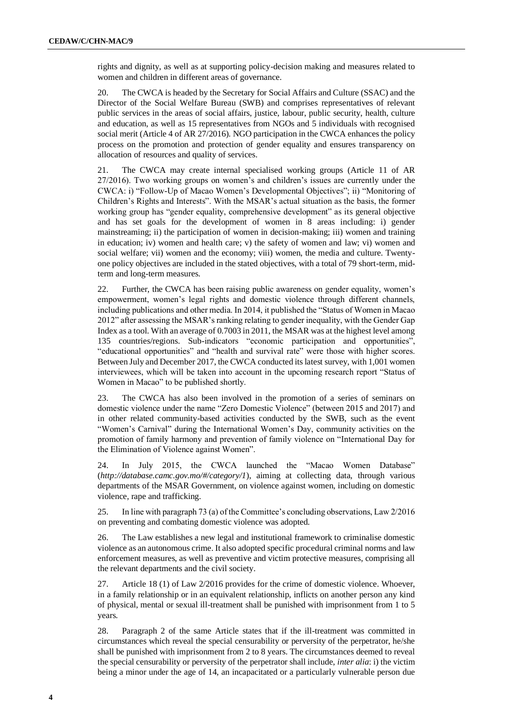rights and dignity, as well as at supporting policy-decision making and measures related to women and children in different areas of governance.

20. The CWCA is headed by the Secretary for Social Affairs and Culture (SSAC) and the Director of the Social Welfare Bureau (SWB) and comprises representatives of relevant public services in the areas of social affairs, justice, labour, public security, health, culture and education, as well as 15 representatives from NGOs and 5 individuals with recognised social merit (Article 4 of AR 27/2016). NGO participation in the CWCA enhances the policy process on the promotion and protection of gender equality and ensures transparency on allocation of resources and quality of services.

21. The CWCA may create internal specialised working groups (Article 11 of AR 27/2016). Two working groups on women's and children's issues are currently under the CWCA: i) "Follow-Up of Macao Women's Developmental Objectives"; ii) "Monitoring of Children's Rights and Interests". With the MSAR's actual situation as the basis, the former working group has "gender equality, comprehensive development" as its general objective and has set goals for the development of women in 8 areas including: i) gender mainstreaming; ii) the participation of women in decision-making; iii) women and training in education; iv) women and health care; v) the safety of women and law; vi) women and social welfare; vii) women and the economy; viii) women, the media and culture. Twentyone policy objectives are included in the stated objectives, with a total of 79 short-term, midterm and long-term measures.

22. Further, the CWCA has been raising public awareness on gender equality, women's empowerment, women's legal rights and domestic violence through different channels, including publications and other media. In 2014, it published the "Status of Women in Macao 2012" after assessing the MSAR's ranking relating to gender inequality, with the Gender Gap Index as a tool. With an average of 0.7003 in 2011, the MSAR was at the highest level among 135 countries/regions. Sub-indicators "economic participation and opportunities", "educational opportunities" and "health and survival rate" were those with higher scores. Between July and December 2017, the CWCA conducted its latest survey, with 1,001 women interviewees, which will be taken into account in the upcoming research report "Status of Women in Macao" to be published shortly.

23. The CWCA has also been involved in the promotion of a series of seminars on domestic violence under the name "Zero Domestic Violence" (between 2015 and 2017) and in other related community-based activities conducted by the SWB, such as the event "Women's Carnival" during the International Women's Day, community activities on the promotion of family harmony and prevention of family violence on "International Day for the Elimination of Violence against Women".

24. In July 2015, the CWCA launched the "Macao Women Database" (*http://database.camc.gov.mo/#/category/1*), aiming at collecting data, through various departments of the MSAR Government, on violence against women, including on domestic violence, rape and trafficking.

25. In line with paragraph 73 (a) of the Committee's concluding observations, Law 2/2016 on preventing and combating domestic violence was adopted.

26. The Law establishes a new legal and institutional framework to criminalise domestic violence as an autonomous crime. It also adopted specific procedural criminal norms and law enforcement measures, as well as preventive and victim protective measures, comprising all the relevant departments and the civil society.

27. Article 18 (1) of Law 2/2016 provides for the crime of domestic violence. Whoever, in a family relationship or in an equivalent relationship, inflicts on another person any kind of physical, mental or sexual ill-treatment shall be punished with imprisonment from 1 to 5 years.

28. Paragraph 2 of the same Article states that if the ill-treatment was committed in circumstances which reveal the special censurability or perversity of the perpetrator, he/she shall be punished with imprisonment from 2 to 8 years. The circumstances deemed to reveal the special censurability or perversity of the perpetrator shall include, *inter alia*: i) the victim being a minor under the age of 14, an incapacitated or a particularly vulnerable person due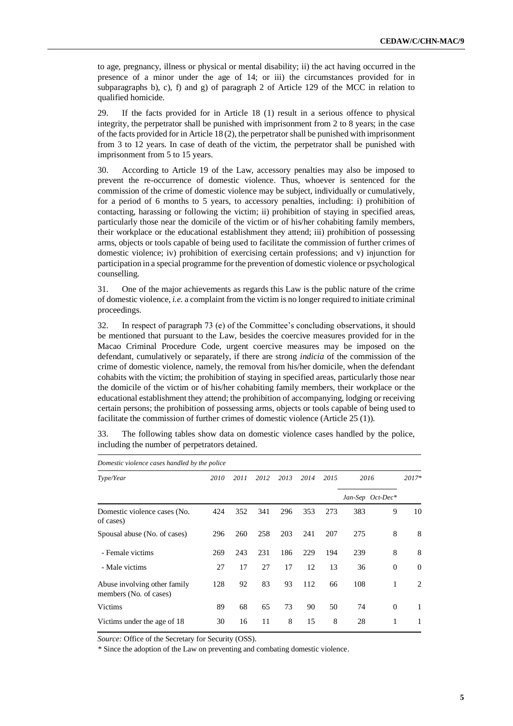to age, pregnancy, illness or physical or mental disability; ii) the act having occurred in the presence of a minor under the age of 14; or iii) the circumstances provided for in subparagraphs b), c), f) and g) of paragraph 2 of Article 129 of the MCC in relation to qualified homicide.

29. If the facts provided for in Article 18 (1) result in a serious offence to physical integrity, the perpetrator shall be punished with imprisonment from 2 to 8 years; in the case of the facts provided for in Article 18 (2), the perpetrator shall be punished with imprisonment from 3 to 12 years. In case of death of the victim, the perpetrator shall be punished with imprisonment from 5 to 15 years.

30. According to Article 19 of the Law, accessory penalties may also be imposed to prevent the re-occurrence of domestic violence. Thus, whoever is sentenced for the commission of the crime of domestic violence may be subject, individually or cumulatively, for a period of 6 months to 5 years, to accessory penalties, including: i) prohibition of contacting, harassing or following the victim; ii) prohibition of staying in specified areas, particularly those near the domicile of the victim or of his/her cohabiting family members, their workplace or the educational establishment they attend; iii) prohibition of possessing arms, objects or tools capable of being used to facilitate the commission of further crimes of domestic violence; iv) prohibition of exercising certain professions; and v) injunction for participation in a special programme for the prevention of domestic violence or psychological counselling.

31. One of the major achievements as regards this Law is the public nature of the crime of domestic violence*, i.e.* a complaint from the victim is no longer required to initiate criminal proceedings.

32. In respect of paragraph 73 (e) of the Committee's concluding observations, it should be mentioned that pursuant to the Law, besides the coercive measures provided for in the Macao Criminal Procedure Code, urgent coercive measures may be imposed on the defendant, cumulatively or separately, if there are strong *indicia* of the commission of the crime of domestic violence, namely, the removal from his/her domicile, when the defendant cohabits with the victim; the prohibition of staying in specified areas, particularly those near the domicile of the victim or of his/her cohabiting family members, their workplace or the educational establishment they attend; the prohibition of accompanying, lodging or receiving certain persons; the prohibition of possessing arms, objects or tools capable of being used to facilitate the commission of further crimes of domestic violence (Article 25 (1)).

33. The following tables show data on domestic violence cases handled by the police, including the number of perpetrators detained.

| Domestic violence cases handled by the police          |      |      |      |      |      |      |      |                  |          |  |
|--------------------------------------------------------|------|------|------|------|------|------|------|------------------|----------|--|
| Type/Year                                              | 2010 | 2011 | 2012 | 2013 | 2014 | 2015 | 2016 |                  | $2017*$  |  |
|                                                        |      |      |      |      |      |      |      | Jan-Sep Oct-Dec* |          |  |
| Domestic violence cases (No.<br>of cases)              | 424  | 352  | 341  | 296  | 353  | 273  | 383  | 9                | 10       |  |
| Spousal abuse (No. of cases)                           | 296  | 260  | 258  | 203  | 241  | 207  | 275  | 8                | 8        |  |
| - Female victims                                       | 269  | 243  | 231  | 186  | 229  | 194  | 239  | 8                | 8        |  |
| - Male victims                                         | 27   | 17   | 27   | 17   | 12   | 13   | 36   | $\theta$         | $\theta$ |  |
| Abuse involving other family<br>members (No. of cases) | 128  | 92   | 83   | 93   | 112  | 66   | 108  | 1                | 2        |  |
| Victims                                                | 89   | 68   | 65   | 73   | 90   | 50   | 74   | $\Omega$         | 1        |  |
| Victims under the age of 18                            | 30   | 16   | 11   | 8    | 15   | 8    | 28   | 1                |          |  |

*Source:* Office of the Secretary for Security (OSS).

*\** Since the adoption of the Law on preventing and combating domestic violence.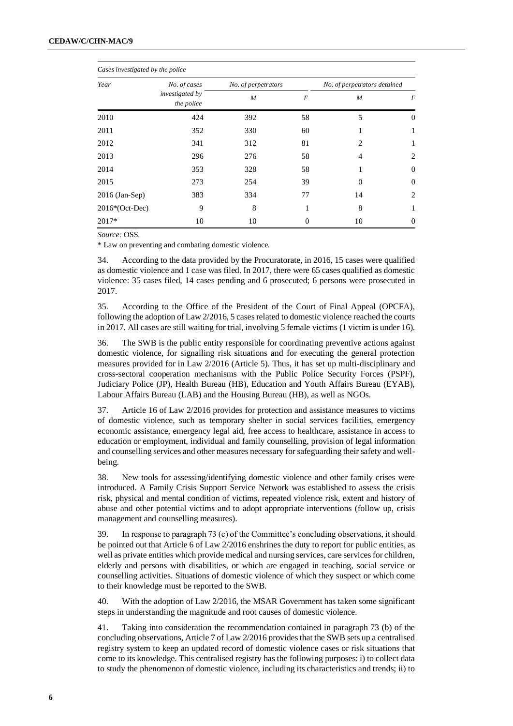| Cases investigated by the police |                                      |                     |          |                              |          |  |  |  |  |
|----------------------------------|--------------------------------------|---------------------|----------|------------------------------|----------|--|--|--|--|
| Year                             | No. of cases                         | No. of perpetrators |          | No. of perpetrators detained |          |  |  |  |  |
|                                  | <i>investigated by</i><br>the police | $\boldsymbol{M}$    | F        | M                            | F        |  |  |  |  |
| 2010                             | 424                                  | 392                 | 58       | 5                            | $\Omega$ |  |  |  |  |
| 2011                             | 352                                  | 330                 | 60       | 1                            | 1        |  |  |  |  |
| 2012                             | 341                                  | 312                 | 81       | $\overline{c}$               | 1        |  |  |  |  |
| 2013                             | 296                                  | 276                 | 58       | 4                            | 2        |  |  |  |  |
| 2014                             | 353                                  | 328                 | 58       |                              | $\Omega$ |  |  |  |  |
| 2015                             | 273                                  | 254                 | 39       | $\Omega$                     | $\Omega$ |  |  |  |  |
| $2016$ (Jan-Sep)                 | 383                                  | 334                 | 77       | 14                           | 2        |  |  |  |  |
| $2016*(Oct-Dec)$                 | 9                                    | 8                   | 1        | 8                            | 1        |  |  |  |  |
| $2017*$                          | 10                                   | 10                  | $\Omega$ | 10                           | $\Omega$ |  |  |  |  |

*Source:* OSS.

\* Law on preventing and combating domestic violence*.*

34. According to the data provided by the Procuratorate, in 2016, 15 cases were qualified as domestic violence and 1 case was filed. In 2017, there were 65 cases qualified as domestic violence: 35 cases filed, 14 cases pending and 6 prosecuted; 6 persons were prosecuted in 2017.

35. According to the Office of the President of the Court of Final Appeal (OPCFA), following the adoption of Law 2/2016, 5 cases related to domestic violence reached the courts in 2017. All cases are still waiting for trial, involving 5 female victims (1 victim is under 16).

36. The SWB is the public entity responsible for coordinating preventive actions against domestic violence, for signalling risk situations and for executing the general protection measures provided for in Law 2/2016 (Article 5). Thus, it has set up multi-disciplinary and cross-sectoral cooperation mechanisms with the Public Police Security Forces (PSPF), Judiciary Police (JP), Health Bureau (HB), Education and Youth Affairs Bureau (EYAB), Labour Affairs Bureau (LAB) and the Housing Bureau (HB), as well as NGOs.

37. Article 16 of Law 2/2016 provides for protection and assistance measures to victims of domestic violence, such as temporary shelter in social services facilities, emergency economic assistance, emergency legal aid, free access to healthcare, assistance in access to education or employment, individual and family counselling, provision of legal information and counselling services and other measures necessary for safeguarding their safety and wellbeing.

38. New tools for assessing/identifying domestic violence and other family crises were introduced. A Family Crisis Support Service Network was established to assess the crisis risk, physical and mental condition of victims, repeated violence risk, extent and history of abuse and other potential victims and to adopt appropriate interventions (follow up, crisis management and counselling measures).

39. In response to paragraph 73 (c) of the Committee's concluding observations, it should be pointed out that Article 6 of Law 2/2016 enshrines the duty to report for public entities, as well as private entities which provide medical and nursing services, care services for children, elderly and persons with disabilities, or which are engaged in teaching, social service or counselling activities. Situations of domestic violence of which they suspect or which come to their knowledge must be reported to the SWB.

40. With the adoption of Law 2/2016, the MSAR Government has taken some significant steps in understanding the magnitude and root causes of domestic violence.

41. Taking into consideration the recommendation contained in paragraph 73 (b) of the concluding observations, Article 7 of Law 2/2016 provides that the SWB sets up a centralised registry system to keep an updated record of domestic violence cases or risk situations that come to its knowledge. This centralised registry has the following purposes: i) to collect data to study the phenomenon of domestic violence, including its characteristics and trends; ii) to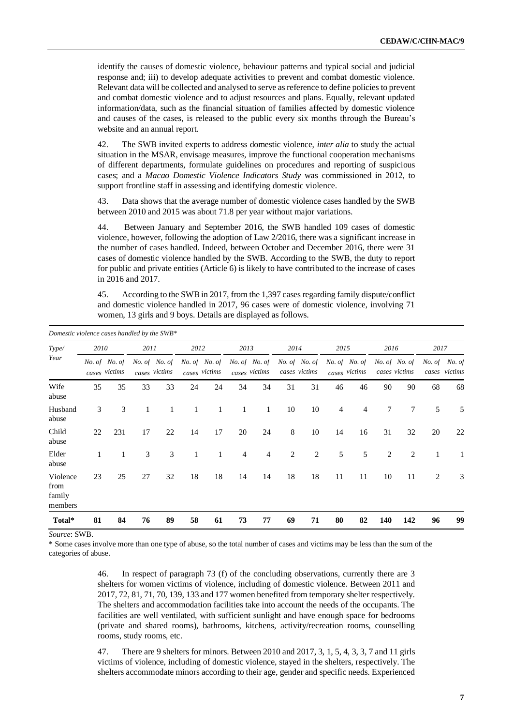identify the causes of domestic violence, behaviour patterns and typical social and judicial response and; iii) to develop adequate activities to prevent and combat domestic violence. Relevant data will be collected and analysed to serve as reference to define policies to prevent and combat domestic violence and to adjust resources and plans. Equally, relevant updated information/data, such as the financial situation of families affected by domestic violence and causes of the cases, is released to the public every six months through the Bureau's website and an annual report.

42. The SWB invited experts to address domestic violence, *inter alia* to study the actual situation in the MSAR, envisage measures, improve the functional cooperation mechanisms of different departments, formulate guidelines on procedures and reporting of suspicious cases; and a *Macao Domestic Violence Indicators Study* was commissioned in 2012, to support frontline staff in assessing and identifying domestic violence.

43. Data shows that the average number of domestic violence cases handled by the SWB between 2010 and 2015 was about 71.8 per year without major variations.

44. Between January and September 2016, the SWB handled 109 cases of domestic violence, however, following the adoption of Law 2/2016, there was a significant increase in the number of cases handled. Indeed, between October and December 2016, there were 31 cases of domestic violence handled by the SWB. According to the SWB, the duty to report for public and private entities (Article 6) is likely to have contributed to the increase of cases in 2016 and 2017.

45. According to the SWB in 2017, from the 1,397 cases regarding family dispute/conflict and domestic violence handled in 2017, 96 cases were of domestic violence, involving 71 women, 13 girls and 9 boys. Details are displayed as follows.

| Domestic violence cases handled by the SWB* |      |                                |      |                                |              |                                |                |                                |    |                                |                |                                |                |                                |                |                         |
|---------------------------------------------|------|--------------------------------|------|--------------------------------|--------------|--------------------------------|----------------|--------------------------------|----|--------------------------------|----------------|--------------------------------|----------------|--------------------------------|----------------|-------------------------|
| Type/                                       | 2010 |                                | 2011 |                                | 2012         |                                | 2013           |                                |    | 2014                           |                | 2015                           | 2016           |                                | 2017           |                         |
| Year                                        |      | No. of No. of<br>cases victims |      | No. of No. of<br>cases victims |              | No. of No. of<br>cases victims |                | No. of No. of<br>cases victims |    | No. of No. of<br>cases victims |                | No. of No. of<br>cases victims |                | No. of No. of<br>cases victims | No. of         | No. of<br>cases victims |
| Wife<br>abuse                               | 35   | 35                             | 33   | 33                             | 24           | 24                             | 34             | 34                             | 31 | 31                             | 46             | 46                             | 90             | 90                             | 68             | 68                      |
| Husband<br>abuse                            | 3    | 3                              | 1    | 1                              | $\mathbf{1}$ | 1                              | $\mathbf{1}$   | $\mathbf{1}$                   | 10 | 10                             | $\overline{4}$ | 4                              | 7              | 7                              | 5              | 5                       |
| Child<br>abuse                              | 22   | 231                            | 17   | 22                             | 14           | 17                             | 20             | 24                             | 8  | 10                             | 14             | 16                             | 31             | 32                             | 20             | 22                      |
| Elder<br>abuse                              |      | $\mathbf{1}$                   | 3    | 3                              | $\mathbf{1}$ | $\mathbf{1}$                   | $\overline{4}$ | 4                              | 2  | 2                              | 5              | 5                              | $\overline{c}$ | 2                              | 1              | 1                       |
| Violence<br>from<br>family<br>members       | 23   | 25                             | 27   | 32                             | 18           | 18                             | 14             | 14                             | 18 | 18                             | 11             | 11                             | 10             | 11                             | $\overline{c}$ | 3                       |
| Total*                                      | 81   | 84                             | 76   | 89                             | 58           | 61                             | 73             | 77                             | 69 | 71                             | 80             | 82                             | 140            | 142                            | 96             | 99                      |

*Source*: SWB.

\* Some cases involve more than one type of abuse, so the total number of cases and victims may be less than the sum of the categories of abuse.

> 46. In respect of paragraph 73 (f) of the concluding observations, currently there are 3 shelters for women victims of violence, including of domestic violence. Between 2011 and 2017, 72, 81, 71, 70, 139, 133 and 177 women benefited from temporary shelter respectively. The shelters and accommodation facilities take into account the needs of the occupants. The facilities are well ventilated, with sufficient sunlight and have enough space for bedrooms (private and shared rooms), bathrooms, kitchens, activity/recreation rooms, counselling rooms, study rooms, etc.

> 47. There are 9 shelters for minors. Between 2010 and 2017, 3, 1, 5, 4, 3, 3, 7 and 11 girls victims of violence, including of domestic violence, stayed in the shelters, respectively. The shelters accommodate minors according to their age, gender and specific needs. Experienced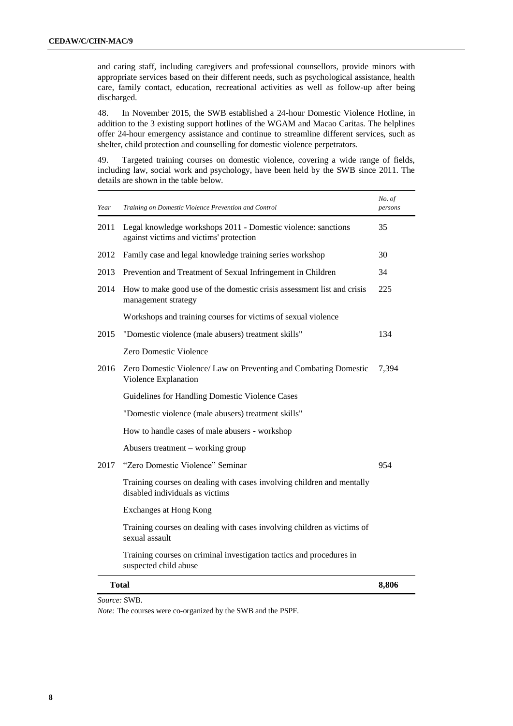and caring staff, including caregivers and professional counsellors, provide minors with appropriate services based on their different needs, such as psychological assistance, health care, family contact, education, recreational activities as well as follow-up after being discharged.

48. In November 2015, the SWB established a 24-hour Domestic Violence Hotline, in addition to the 3 existing support hotlines of the WGAM and Macao Caritas. The helplines offer 24-hour emergency assistance and continue to streamline different services, such as shelter, child protection and counselling for domestic violence perpetrators.

49. Targeted training courses on domestic violence, covering a wide range of fields, including law, social work and psychology, have been held by the SWB since 2011. The details are shown in the table below.

| Year | Training on Domestic Violence Prevention and Control                                                      | No. of<br>persons |
|------|-----------------------------------------------------------------------------------------------------------|-------------------|
| 2011 | Legal knowledge workshops 2011 - Domestic violence: sanctions<br>against victims and victims' protection  | 35                |
| 2012 | Family case and legal knowledge training series workshop                                                  | 30                |
| 2013 | Prevention and Treatment of Sexual Infringement in Children                                               | 34                |
| 2014 | How to make good use of the domestic crisis assessment list and crisis<br>management strategy             | 225               |
|      | Workshops and training courses for victims of sexual violence                                             |                   |
| 2015 | "Domestic violence (male abusers) treatment skills"                                                       | 134               |
|      | Zero Domestic Violence                                                                                    |                   |
| 2016 | Zero Domestic Violence/ Law on Preventing and Combating Domestic<br>Violence Explanation                  | 7,394             |
|      | Guidelines for Handling Domestic Violence Cases                                                           |                   |
|      | "Domestic violence (male abusers) treatment skills"                                                       |                   |
|      | How to handle cases of male abusers - workshop                                                            |                   |
|      | Abusers treatment – working group                                                                         |                   |
| 2017 | "Zero Domestic Violence" Seminar                                                                          | 954               |
|      | Training courses on dealing with cases involving children and mentally<br>disabled individuals as victims |                   |
|      | Exchanges at Hong Kong                                                                                    |                   |
|      | Training courses on dealing with cases involving children as victims of<br>sexual assault                 |                   |
|      | Training courses on criminal investigation tactics and procedures in<br>suspected child abuse             |                   |
|      | Total                                                                                                     | 8,806             |

*Source:* SWB.

*Note:* The courses were co-organized by the SWB and the PSPF*.*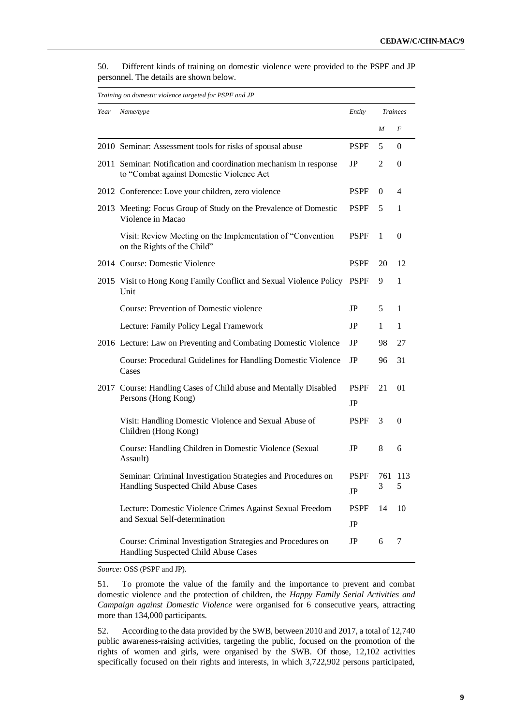|      | Training on domestic violence targeted for PSPF and JP                                                        |             |              |                 |
|------|---------------------------------------------------------------------------------------------------------------|-------------|--------------|-----------------|
| Year | Name/type                                                                                                     | Entity      |              | <b>Trainees</b> |
|      |                                                                                                               |             | M            | F               |
|      | 2010 Seminar: Assessment tools for risks of spousal abuse                                                     | <b>PSPF</b> | 5            | $\Omega$        |
|      | 2011 Seminar: Notification and coordination mechanism in response<br>to "Combat against Domestic Violence Act | JP          | 2            | $\Omega$        |
|      | 2012 Conference: Love your children, zero violence                                                            | <b>PSPF</b> | 0            | 4               |
|      | 2013 Meeting: Focus Group of Study on the Prevalence of Domestic<br>Violence in Macao                         | <b>PSPF</b> | 5            | 1               |
|      | Visit: Review Meeting on the Implementation of "Convention<br>on the Rights of the Child"                     | <b>PSPF</b> | $\mathbf{1}$ | $\Omega$        |
|      | 2014 Course: Domestic Violence                                                                                | <b>PSPF</b> | 20           | 12              |
|      | 2015 Visit to Hong Kong Family Conflict and Sexual Violence Policy<br>Unit                                    | <b>PSPF</b> | 9            | 1               |
|      | Course: Prevention of Domestic violence                                                                       | JP          | 5.           | 1               |
|      | Lecture: Family Policy Legal Framework                                                                        | JP.         | 1            | 1               |
|      | 2016 Lecture: Law on Preventing and Combating Domestic Violence                                               | JP          | 98           | 27              |
|      | Course: Procedural Guidelines for Handling Domestic Violence<br>Cases                                         | JP          | 96           | 31              |
|      | 2017 Course: Handling Cases of Child abuse and Mentally Disabled                                              | <b>PSPF</b> | 21           | 01              |
|      | Persons (Hong Kong)                                                                                           | JP          |              |                 |
|      | Visit: Handling Domestic Violence and Sexual Abuse of<br>Children (Hong Kong)                                 | <b>PSPF</b> | 3            | $\Omega$        |
|      | Course: Handling Children in Domestic Violence (Sexual<br>Assault)                                            | JP          | 8            | 6               |
|      | Seminar: Criminal Investigation Strategies and Procedures on<br>Handling Suspected Child Abuse Cases          | PSPF<br>JP  | 3            | 761 113<br>5    |
|      | Lecture: Domestic Violence Crimes Against Sexual Freedom                                                      | <b>PSPF</b> | 14           | 10              |
|      | and Sexual Self-determination                                                                                 | JP          |              |                 |
|      | Course: Criminal Investigation Strategies and Procedures on<br>Handling Suspected Child Abuse Cases           | JP          | 6            | 7               |

50. Different kinds of training on domestic violence were provided to the PSPF and JP personnel. The details are shown below.

*Source:* OSS (PSPF and JP).

51. To promote the value of the family and the importance to prevent and combat domestic violence and the protection of children, the *Happy Family Serial Activities and Campaign against Domestic Violence* were organised for 6 consecutive years, attracting more than 134,000 participants.

52. According to the data provided by the SWB, between 2010 and 2017, a total of 12,740 public awareness-raising activities, targeting the public, focused on the promotion of the rights of women and girls, were organised by the SWB. Of those, 12,102 activities specifically focused on their rights and interests, in which 3,722,902 persons participated,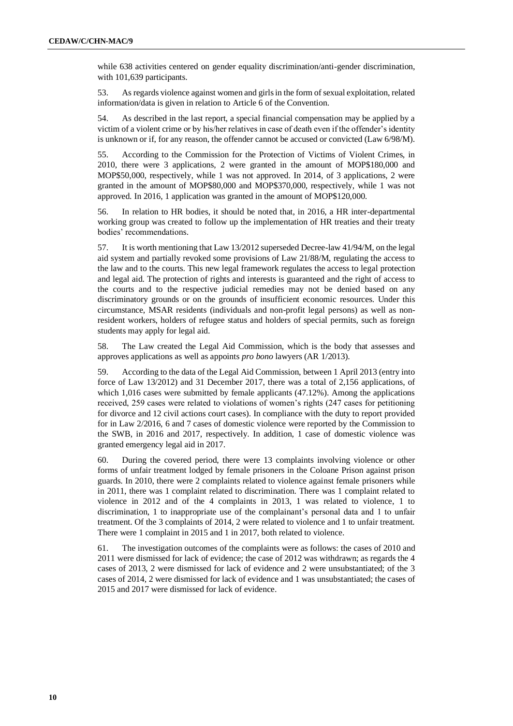while 638 activities centered on gender equality discrimination/anti-gender discrimination, with 101,639 participants.

53. As regards violence against women and girls in the form of sexual exploitation, related information/data is given in relation to Article 6 of the Convention.

54. As described in the last report, a special financial compensation may be applied by a victim of a violent crime or by his/her relatives in case of death even if the offender's identity is unknown or if, for any reason, the offender cannot be accused or convicted (Law 6/98/M).

55. According to the Commission for the Protection of Victims of Violent Crimes, in 2010, there were 3 applications, 2 were granted in the amount of MOP\$180,000 and MOP\$50,000, respectively, while 1 was not approved. In 2014, of 3 applications, 2 were granted in the amount of MOP\$80,000 and MOP\$370,000, respectively, while 1 was not approved. In 2016, 1 application was granted in the amount of MOP\$120,000.

56. In relation to HR bodies, it should be noted that, in 2016, a HR inter-departmental working group was created to follow up the implementation of HR treaties and their treaty bodies' recommendations.

57. It is worth mentioning that Law 13/2012 superseded Decree-law 41/94/M, on the legal aid system and partially revoked some provisions of Law 21/88/M, regulating the access to the law and to the courts. This new legal framework regulates the access to legal protection and legal aid. The protection of rights and interests is guaranteed and the right of access to the courts and to the respective judicial remedies may not be denied based on any discriminatory grounds or on the grounds of insufficient economic resources. Under this circumstance, MSAR residents (individuals and non-profit legal persons) as well as nonresident workers, holders of refugee status and holders of special permits, such as foreign students may apply for legal aid.

58. The Law created the Legal Aid Commission, which is the body that assesses and approves applications as well as appoints *pro bono* lawyers (AR 1/2013).

59. According to the data of the Legal Aid Commission, between 1 April 2013 (entry into force of Law 13/2012) and 31 December 2017, there was a total of 2,156 applications, of which 1,016 cases were submitted by female applicants (47.12%). Among the applications received, 259 cases were related to violations of women's rights (247 cases for petitioning for divorce and 12 civil actions court cases). In compliance with the duty to report provided for in Law 2/2016, 6 and 7 cases of domestic violence were reported by the Commission to the SWB, in 2016 and 2017, respectively. In addition, 1 case of domestic violence was granted emergency legal aid in 2017.

60. During the covered period, there were 13 complaints involving violence or other forms of unfair treatment lodged by female prisoners in the Coloane Prison against prison guards. In 2010, there were 2 complaints related to violence against female prisoners while in 2011, there was 1 complaint related to discrimination. There was 1 complaint related to violence in 2012 and of the 4 complaints in 2013, 1 was related to violence, 1 to discrimination, 1 to inappropriate use of the complainant's personal data and 1 to unfair treatment. Of the 3 complaints of 2014, 2 were related to violence and 1 to unfair treatment. There were 1 complaint in 2015 and 1 in 2017, both related to violence.

61. The investigation outcomes of the complaints were as follows: the cases of 2010 and 2011 were dismissed for lack of evidence; the case of 2012 was withdrawn; as regards the 4 cases of 2013, 2 were dismissed for lack of evidence and 2 were unsubstantiated; of the 3 cases of 2014, 2 were dismissed for lack of evidence and 1 was unsubstantiated; the cases of 2015 and 2017 were dismissed for lack of evidence.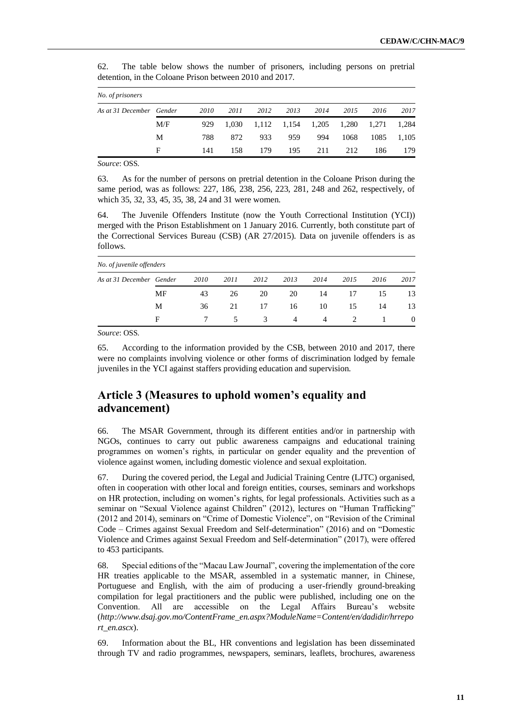| No. of prisoners         |     |      |       |      |                         |      |      |       |       |
|--------------------------|-----|------|-------|------|-------------------------|------|------|-------|-------|
| As at 31 December Gender |     | 2010 | 2011  | 2012 | 2013                    | 2014 | 2015 | 2016  | 2017  |
|                          | M/F | 929  | 1.030 |      | 1,112 1,154 1,205 1,280 |      |      | 1,271 | 1,284 |
|                          | М   | 788  | 872   | 933  | 959                     | 994  | 1068 | 1085  | 1,105 |
|                          | F   | 141  | 158   | 179  | 195                     | 211  | 212  | 186   | 179   |

62. The table below shows the number of prisoners, including persons on pretrial detention, in the Coloane Prison between 2010 and 2017.

*Source*: OSS.

63. As for the number of persons on pretrial detention in the Coloane Prison during the same period, was as follows: 227, 186, 238, 256, 223, 281, 248 and 262, respectively, of which 35, 32, 33, 45, 35, 38, 24 and 31 were women.

64. The Juvenile Offenders Institute (now the Youth Correctional Institution (YCI)) merged with the Prison Establishment on 1 January 2016. Currently, both constitute part of the Correctional Services Bureau (CSB) (AR 27/2015). Data on juvenile offenders is as follows.

| No. of juvenile offenders |    |      |      |               |      |      |               |      |          |
|---------------------------|----|------|------|---------------|------|------|---------------|------|----------|
| As at 31 December Gender  |    | 2010 | 2011 | 2012          | 2013 | 2014 | 2015          | 2016 | 2017     |
|                           | MF | 43   | 26   | 20            | 20   | 14   | 17            | 15   | 13       |
|                           | М  | 36   | 21   | 17            | 16   | 10   | 15            | 14   | 13       |
|                           | F  |      | 5.   | $\mathcal{E}$ | 4    | 4    | $\mathcal{L}$ |      | $\theta$ |

*Source*: OSS.

65. According to the information provided by the CSB, between 2010 and 2017, there were no complaints involving violence or other forms of discrimination lodged by female juveniles in the YCI against staffers providing education and supervision.

# **Article 3 (Measures to uphold women's equality and advancement)**

66. The MSAR Government, through its different entities and/or in partnership with NGOs, continues to carry out public awareness campaigns and educational training programmes on women's rights, in particular on gender equality and the prevention of violence against women, including domestic violence and sexual exploitation.

67. During the covered period, the Legal and Judicial Training Centre (LJTC) organised, often in cooperation with other local and foreign entities, courses, seminars and workshops on HR protection, including on women's rights, for legal professionals. Activities such as a seminar on "Sexual Violence against Children" (2012), lectures on "Human Trafficking" (2012 and 2014), seminars on "Crime of Domestic Violence", on "Revision of the Criminal Code – Crimes against Sexual Freedom and Self-determination" (2016) and on "Domestic Violence and Crimes against Sexual Freedom and Self-determination" (2017), were offered to 453 participants.

68. Special editions of the "Macau Law Journal", covering the implementation of the core HR treaties applicable to the MSAR, assembled in a systematic manner, in Chinese, Portuguese and English, with the aim of producing a user-friendly ground-breaking compilation for legal practitioners and the public were published, including one on the Convention. All are accessible on the Legal Affairs Bureau's website (*http://www.dsaj.gov.mo/ContentFrame\_en.aspx?ModuleName=Content/en/dadidir/hrrepo rt\_en.ascx*).

69. Information about the BL, HR conventions and legislation has been disseminated through TV and radio programmes, newspapers, seminars, leaflets, brochures, awareness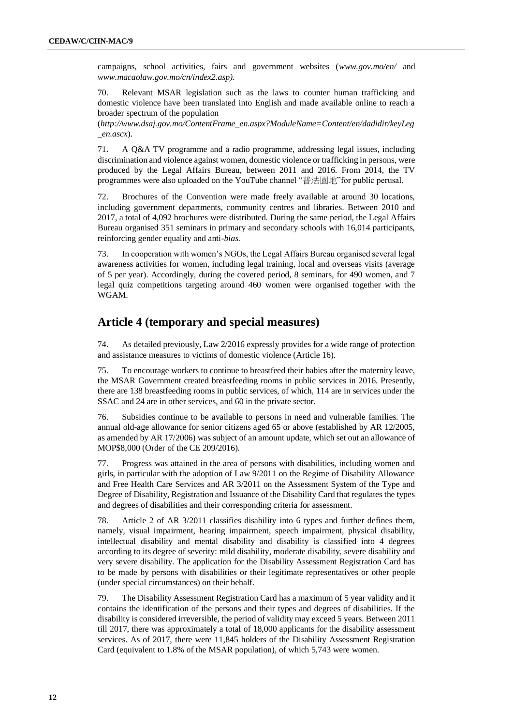campaigns, school activities, fairs and government websites (*www.gov.mo/en/* and *www.macaolaw.gov.mo/cn/index2.asp).* 

70. Relevant MSAR legislation such as the laws to counter human trafficking and domestic violence have been translated into English and made available online to reach a broader spectrum of the population

(*http://www.dsaj.gov.mo/ContentFrame\_en.aspx?ModuleName=Content/en/dadidir/keyLeg \_en.ascx*).

71. A Q&A TV programme and a radio programme, addressing legal issues, including discrimination and violence against women, domestic violence or trafficking in persons, were produced by the Legal Affairs Bureau, between 2011 and 2016. From 2014, the TV programmes were also uploaded on the YouTube channel "普法園地"for public perusal.

72. Brochures of the Convention were made freely available at around 30 locations, including government departments, community centres and libraries. Between 2010 and 2017, a total of 4,092 brochures were distributed. During the same period, the Legal Affairs Bureau organised 351 seminars in primary and secondary schools with 16,014 participants, reinforcing gender equality and anti-*bias.*

73. In cooperation with women's NGOs, the Legal Affairs Bureau organised several legal awareness activities for women, including legal training, local and overseas visits (average of 5 per year). Accordingly, during the covered period, 8 seminars, for 490 women, and 7 legal quiz competitions targeting around 460 women were organised together with the WGAM.

#### **Article 4 (temporary and special measures)**

74. As detailed previously, Law 2/2016 expressly provides for a wide range of protection and assistance measures to victims of domestic violence (Article 16).

75. To encourage workers to continue to breastfeed their babies after the maternity leave, the MSAR Government created breastfeeding rooms in public services in 2016. Presently, there are 138 breastfeeding rooms in public services, of which, 114 are in services under the SSAC and 24 are in other services, and 60 in the private sector.

76. Subsidies continue to be available to persons in need and vulnerable families. The annual old-age allowance for senior citizens aged 65 or above (established by AR 12/2005, as amended by AR 17/2006) was subject of an amount update, which set out an allowance of MOP\$8,000 (Order of the CE 209/2016).

77. Progress was attained in the area of persons with disabilities, including women and girls, in particular with the adoption of Law 9/2011 on the Regime of Disability Allowance and Free Health Care Services and AR 3/2011 on the Assessment System of the Type and Degree of Disability, Registration and Issuance of the Disability Card that regulates the types and degrees of disabilities and their corresponding criteria for assessment.

78. Article 2 of AR 3/2011 classifies disability into 6 types and further defines them, namely, visual impairment, hearing impairment, speech impairment, physical disability, intellectual disability and mental disability and disability is classified into 4 degrees according to its degree of severity: mild disability, moderate disability, severe disability and very severe disability. The application for the Disability Assessment Registration Card has to be made by persons with disabilities or their legitimate representatives or other people (under special circumstances) on their behalf.

79. The Disability Assessment Registration Card has a maximum of 5 year validity and it contains the identification of the persons and their types and degrees of disabilities. If the disability is considered irreversible, the period of validity may exceed 5 years. Between 2011 till 2017, there was approximately a total of 18,000 applicants for the disability assessment services. As of 2017, there were 11,845 holders of the Disability Assessment Registration Card (equivalent to 1.8% of the MSAR population), of which 5,743 were women.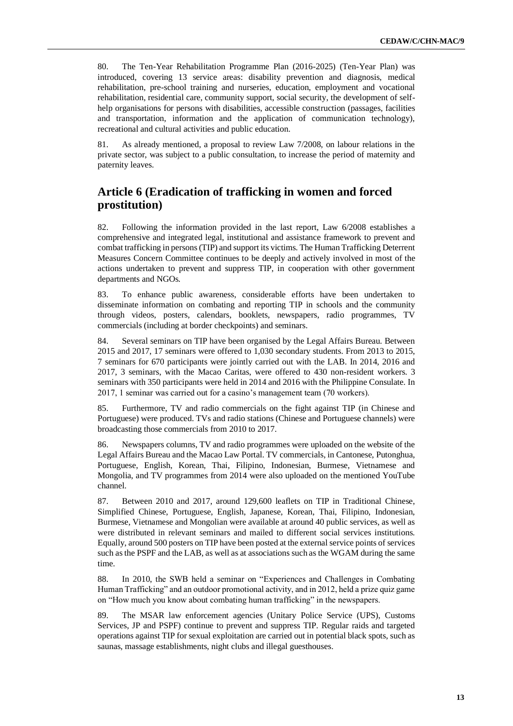80. The Ten-Year Rehabilitation Programme Plan (2016-2025) (Ten-Year Plan) was introduced, covering 13 service areas: disability prevention and diagnosis, medical rehabilitation, pre-school training and nurseries, education, employment and vocational rehabilitation, residential care, community support, social security, the development of selfhelp organisations for persons with disabilities, accessible construction (passages, facilities and transportation, information and the application of communication technology), recreational and cultural activities and public education.

81. As already mentioned, a proposal to review Law 7/2008, on labour relations in the private sector, was subject to a public consultation, to increase the period of maternity and paternity leaves.

# **Article 6 (Eradication of trafficking in women and forced prostitution)**

82. Following the information provided in the last report, Law 6/2008 establishes a comprehensive and integrated legal, institutional and assistance framework to prevent and combat trafficking in persons (TIP) and support its victims. The Human Trafficking Deterrent Measures Concern Committee continues to be deeply and actively involved in most of the actions undertaken to prevent and suppress TIP, in cooperation with other government departments and NGOs.

83. To enhance public awareness, considerable efforts have been undertaken to disseminate information on combating and reporting TIP in schools and the community through videos, posters, calendars, booklets, newspapers, radio programmes, TV commercials (including at border checkpoints) and seminars.

84. Several seminars on TIP have been organised by the Legal Affairs Bureau. Between 2015 and 2017, 17 seminars were offered to 1,030 secondary students. From 2013 to 2015, 7 seminars for 670 participants were jointly carried out with the LAB. In 2014, 2016 and 2017, 3 seminars, with the Macao Caritas, were offered to 430 non-resident workers. 3 seminars with 350 participants were held in 2014 and 2016 with the Philippine Consulate. In 2017, 1 seminar was carried out for a casino's management team (70 workers).

85. Furthermore, TV and radio commercials on the fight against TIP (in Chinese and Portuguese) were produced. TVs and radio stations (Chinese and Portuguese channels) were broadcasting those commercials from 2010 to 2017.

86. Newspapers columns, TV and radio programmes were uploaded on the website of the Legal Affairs Bureau and the Macao Law Portal. TV commercials, in Cantonese, Putonghua, Portuguese, English, Korean, Thai, Filipino, Indonesian, Burmese, Vietnamese and Mongolia, and TV programmes from 2014 were also uploaded on the mentioned YouTube channel.

87. Between 2010 and 2017, around 129,600 leaflets on TIP in Traditional Chinese, Simplified Chinese, Portuguese, English, Japanese, Korean, Thai, Filipino, Indonesian, Burmese, Vietnamese and Mongolian were available at around 40 public services, as well as were distributed in relevant seminars and mailed to different social services institutions. Equally, around 500 posters on TIP have been posted at the external service points of services such as the PSPF and the LAB, as well as at associations such as the WGAM during the same time.

88. In 2010, the SWB held a seminar on "Experiences and Challenges in Combating Human Trafficking" and an outdoor promotional activity, and in 2012, held a prize quiz game on "How much you know about combating human trafficking" in the newspapers.

89. The MSAR law enforcement agencies (Unitary Police Service (UPS), Customs Services, JP and PSPF) continue to prevent and suppress TIP. Regular raids and targeted operations against TIP for sexual exploitation are carried out in potential black spots, such as saunas, massage establishments, night clubs and illegal guesthouses.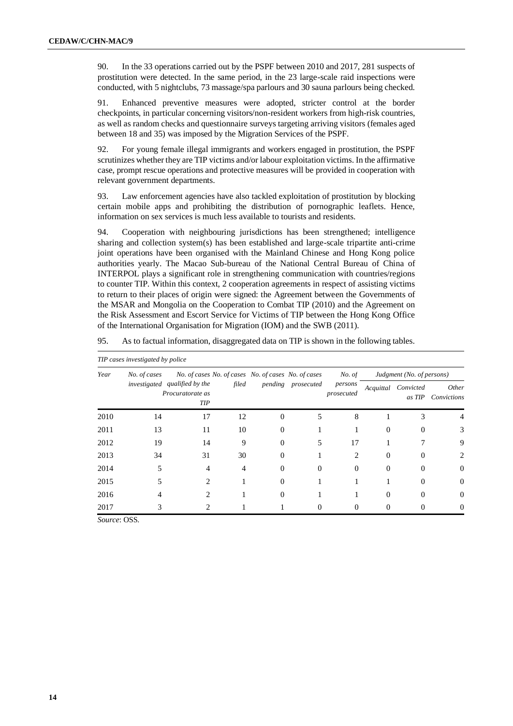90. In the 33 operations carried out by the PSPF between 2010 and 2017, 281 suspects of prostitution were detected. In the same period, in the 23 large-scale raid inspections were conducted, with 5 nightclubs, 73 massage/spa parlours and 30 sauna parlours being checked.

91. Enhanced preventive measures were adopted, stricter control at the border checkpoints, in particular concerning visitors/non-resident workers from high-risk countries, as well as random checks and questionnaire surveys targeting arriving visitors (females aged between 18 and 35) was imposed by the Migration Services of the PSPF.

92. For young female illegal immigrants and workers engaged in prostitution, the PSPF scrutinizes whether they are TIP victims and/or labour exploitation victims. In the affirmative case, prompt rescue operations and protective measures will be provided in cooperation with relevant government departments.

93. Law enforcement agencies have also tackled exploitation of prostitution by blocking certain mobile apps and prohibiting the distribution of pornographic leaflets. Hence, information on sex services is much less available to tourists and residents.

94. Cooperation with neighbouring jurisdictions has been strengthened; intelligence sharing and collection system(s) has been established and large-scale tripartite anti-crime joint operations have been organised with the Mainland Chinese and Hong Kong police authorities yearly. The Macao Sub-bureau of the National Central Bureau of China of INTERPOL plays a significant role in strengthening communication with countries/regions to counter TIP. Within this context, 2 cooperation agreements in respect of assisting victims to return to their places of origin were signed: the Agreement between the Governments of the MSAR and Mongolia on the Cooperation to Combat TIP (2010) and the Agreement on the Risk Assessment and Escort Service for Victims of TIP between the Hong Kong Office of the International Organisation for Migration (IOM) and the SWB (2011).

|      | TIP cases investigated by police |                                                                 |       |                                                     |                    |                             |           |                           |                      |
|------|----------------------------------|-----------------------------------------------------------------|-------|-----------------------------------------------------|--------------------|-----------------------------|-----------|---------------------------|----------------------|
| Year | No. of cases                     |                                                                 |       | No. of cases No. of cases No. of cases No. of cases |                    | No. of                      |           | Judgment (No. of persons) |                      |
|      |                                  | investigated qualified by the<br>Procuratorate as<br><b>TIP</b> | filed |                                                     | pending prosecuted | persons<br>prosecuted       | Acquittal | Convicted<br>as TIP       | Other<br>Convictions |
| 2010 | 14                               | 17                                                              | 12    | $\Omega$                                            | 5                  | 8                           |           | 3                         | 4                    |
| 2011 | 13                               | 11                                                              | 10    | 0                                                   |                    |                             | $\Omega$  |                           | 3                    |
| 2012 | 19                               | 14                                                              | 9     | $\Omega$                                            | 5                  | 17                          |           |                           | 9                    |
| 2013 | 34                               | 31                                                              | 30    | 0                                                   |                    | $\mathcal{D}_{\mathcal{L}}$ | $\Omega$  |                           | 2.                   |
| 2014 | 5                                | 4                                                               | 4     | $\Omega$                                            | $\Omega$           | $\Omega$                    | $\Omega$  |                           | $\theta$             |
| 2015 |                                  | $\mathfrak{D}_{\mathfrak{p}}$                                   |       | 0                                                   |                    |                             |           |                           | $\Omega$             |
| 2016 |                                  | 2                                                               |       | 0                                                   |                    |                             | 0         |                           | $\Omega$             |
| 2017 |                                  | 2                                                               |       |                                                     | 0                  | $\Omega$                    | 0         |                           | $\theta$             |

95. As to factual information, disaggregated data on TIP is shown in the following tables.

*Source*: OSS.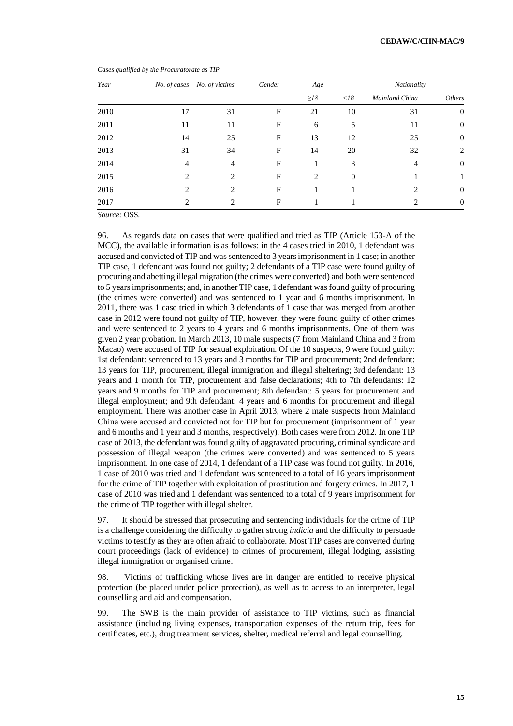|      | Cases qualified by the Procuratorate as TIP |                             |              |                |              |                |                |  |  |  |  |  |  |
|------|---------------------------------------------|-----------------------------|--------------|----------------|--------------|----------------|----------------|--|--|--|--|--|--|
| Year | No. of cases                                | No. of victims              | Gender       | Age            |              | Nationality    |                |  |  |  |  |  |  |
|      |                                             |                             |              | $\geq$ 18      | $\langle$ 18 | Mainland China | Others         |  |  |  |  |  |  |
| 2010 | 17                                          | 31                          | F            | 21             | 10           | 31             | $\theta$       |  |  |  |  |  |  |
| 2011 | 11                                          | 11                          | F            | 6              | 5            | 11             | $\overline{0}$ |  |  |  |  |  |  |
| 2012 | 14                                          | 25                          | F            | 13             | 12           | 25             | $\mathbf{0}$   |  |  |  |  |  |  |
| 2013 | 31                                          | 34                          | $\mathbf{F}$ | 14             | 20           | 32             | 2              |  |  |  |  |  |  |
| 2014 | 4                                           | 4                           | F            |                | 3            | 4              | $\theta$       |  |  |  |  |  |  |
| 2015 | $\mathfrak{D}$                              | 2                           | F            | $\overline{c}$ | $\theta$     |                |                |  |  |  |  |  |  |
| 2016 | 2                                           | $\mathcal{D}_{\mathcal{L}}$ | F            |                |              | っ              | $\theta$       |  |  |  |  |  |  |
| 2017 | ∍                                           | ∍                           | F            |                |              | っ              | $\theta$       |  |  |  |  |  |  |

*Source:* OSS.

96. As regards data on cases that were qualified and tried as TIP (Article 153-A of the MCC), the available information is as follows: in the 4 cases tried in 2010, 1 defendant was accused and convicted of TIP and was sentenced to 3 years imprisonment in 1 case; in another TIP case, 1 defendant was found not guilty; 2 defendants of a TIP case were found guilty of procuring and abetting illegal migration (the crimes were converted) and both were sentenced to 5 years imprisonments; and, in another TIP case, 1 defendant was found guilty of procuring (the crimes were converted) and was sentenced to 1 year and 6 months imprisonment. In 2011, there was 1 case tried in which 3 defendants of 1 case that was merged from another case in 2012 were found not guilty of TIP, however, they were found guilty of other crimes and were sentenced to 2 years to 4 years and 6 months imprisonments. One of them was given 2 year probation. In March 2013, 10 male suspects (7 from Mainland China and 3 from Macao) were accused of TIP for sexual exploitation. Of the 10 suspects, 9 were found guilty: 1st defendant: sentenced to 13 years and 3 months for TIP and procurement; 2nd defendant: 13 years for TIP, procurement, illegal immigration and illegal sheltering; 3rd defendant: 13 years and 1 month for TIP, procurement and false declarations; 4th to 7th defendants: 12 years and 9 months for TIP and procurement; 8th defendant: 5 years for procurement and illegal employment; and 9th defendant: 4 years and 6 months for procurement and illegal employment. There was another case in April 2013, where 2 male suspects from Mainland China were accused and convicted not for TIP but for procurement (imprisonment of 1 year and 6 months and 1 year and 3 months, respectively). Both cases were from 2012. In one TIP case of 2013, the defendant was found guilty of aggravated procuring, criminal syndicate and possession of illegal weapon (the crimes were converted) and was sentenced to 5 years imprisonment. In one case of 2014, 1 defendant of a TIP case was found not guilty. In 2016, 1 case of 2010 was tried and 1 defendant was sentenced to a total of 16 years imprisonment for the crime of TIP together with exploitation of prostitution and forgery crimes. In 2017, 1 case of 2010 was tried and 1 defendant was sentenced to a total of 9 years imprisonment for the crime of TIP together with illegal shelter.

97. It should be stressed that prosecuting and sentencing individuals for the crime of TIP is a challenge considering the difficulty to gather strong *indicia* and the difficulty to persuade victims to testify as they are often afraid to collaborate. Most TIP cases are converted during court proceedings (lack of evidence) to crimes of procurement, illegal lodging, assisting illegal immigration or organised crime.

98. Victims of trafficking whose lives are in danger are entitled to receive physical protection (be placed under police protection), as well as to access to an interpreter, legal counselling and aid and compensation.

99. The SWB is the main provider of assistance to TIP victims, such as financial assistance (including living expenses, transportation expenses of the return trip, fees for certificates, etc.), drug treatment services, shelter, medical referral and legal counselling.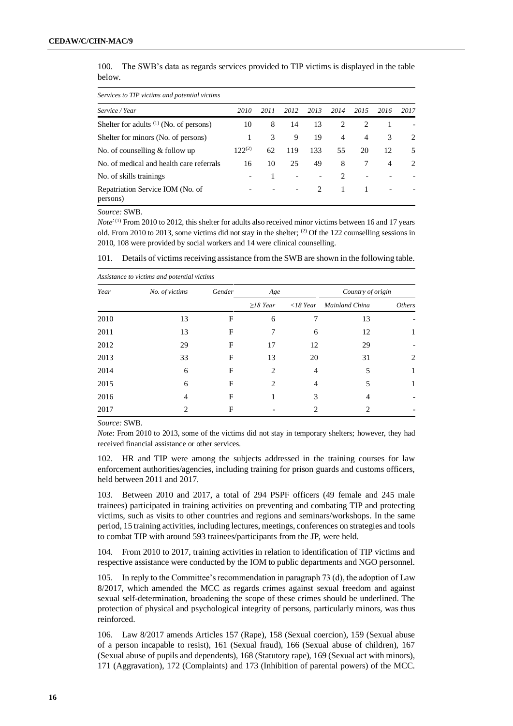| 100.   | The SWB's data as regards services provided to TIP victims is displayed in the table |  |  |
|--------|--------------------------------------------------------------------------------------|--|--|
| below. |                                                                                      |  |  |

| Services to TIP victims and potential victims |             |      |      |                               |                             |                               |      |               |  |  |
|-----------------------------------------------|-------------|------|------|-------------------------------|-----------------------------|-------------------------------|------|---------------|--|--|
| Service / Year                                | 2010        | 2011 | 2012 | 2013                          | 2014                        | 2015                          | 2016 | 2017          |  |  |
| Shelter for adults $(1)$ (No. of persons)     | 10          | 8    | 14   | 13                            | 2                           | $\mathfrak{D}_{\mathfrak{p}}$ |      |               |  |  |
| Shelter for minors (No. of persons)           |             | 3    | 9    | 19                            | 4                           | 4                             | 3    | $\mathcal{L}$ |  |  |
| No. of counselling $&$ follow up              | $122^{(2)}$ | 62   | 119  | 133                           | 55                          | 20                            | 12   | 5             |  |  |
| No. of medical and health care referrals      | 16          | 10   | 25   | 49                            | 8                           |                               | 4    | $\mathcal{L}$ |  |  |
| No. of skills trainings                       |             |      |      |                               | $\mathcal{D}_{\mathcal{L}}$ |                               |      |               |  |  |
| Repatriation Service IOM (No. of<br>persons)  |             |      |      | $\mathfrak{D}_{\mathfrak{p}}$ | 1                           | 1                             |      |               |  |  |

*Source:* SWB.

*Note*<sup>: (1)</sup> From 2010 to 2012, this shelter for adults also received minor victims between 16 and 17 years old. From 2010 to 2013, some victims did not stay in the shelter; <sup>(2)</sup> Of the 122 counselling sessions in 2010, 108 were provided by social workers and 14 were clinical counselling.

|      | Assistance to victims and potential victims |              |                |                   |                   |               |  |  |  |  |  |  |
|------|---------------------------------------------|--------------|----------------|-------------------|-------------------|---------------|--|--|--|--|--|--|
| Year | No. of victims                              | Gender       | Age            |                   | Country of origin |               |  |  |  |  |  |  |
|      |                                             |              | $\geq$ 18 Year | $\langle$ 18 Year | Mainland China    | <b>Others</b> |  |  |  |  |  |  |
| 2010 | 13                                          | F            | 6              |                   | 13                |               |  |  |  |  |  |  |
| 2011 | 13                                          | F            | 7              | 6                 | 12                | $\mathbf{I}$  |  |  |  |  |  |  |
| 2012 | 29                                          | F            | 17             | 12                | 29                |               |  |  |  |  |  |  |
| 2013 | 33                                          | F            | 13             | 20                | 31                | 2             |  |  |  |  |  |  |
| 2014 | 6                                           | F            | $\overline{c}$ | $\overline{4}$    | 5                 | 1             |  |  |  |  |  |  |
| 2015 | 6                                           | F            | $\mathfrak{D}$ | 4                 | 5                 | 1             |  |  |  |  |  |  |
| 2016 | 4                                           | $\mathbf{F}$ |                | 3                 | 4                 |               |  |  |  |  |  |  |
| 2017 | 2                                           | F            |                | 2                 | 2                 |               |  |  |  |  |  |  |
|      |                                             |              |                |                   |                   |               |  |  |  |  |  |  |

101. Details of victims receiving assistance from the SWB are shown in the following table.

*Source:* SWB.

*Note*: From 2010 to 2013, some of the victims did not stay in temporary shelters; however, they had received financial assistance or other services.

102. HR and TIP were among the subjects addressed in the training courses for law enforcement authorities/agencies, including training for prison guards and customs officers, held between 2011 and 2017.

103. Between 2010 and 2017, a total of 294 PSPF officers (49 female and 245 male trainees) participated in training activities on preventing and combating TIP and protecting victims, such as visits to other countries and regions and seminars/workshops. In the same period, 15 training activities, including lectures, meetings, conferences on strategies and tools to combat TIP with around 593 trainees/participants from the JP, were held.

104. From 2010 to 2017, training activities in relation to identification of TIP victims and respective assistance were conducted by the IOM to public departments and NGO personnel.

105. In reply to the Committee's recommendation in paragraph 73 (d), the adoption of Law 8/2017, which amended the MCC as regards crimes against sexual freedom and against sexual self-determination, broadening the scope of these crimes should be underlined. The protection of physical and psychological integrity of persons, particularly minors, was thus reinforced.

106. Law 8/2017 amends Articles 157 (Rape), 158 (Sexual coercion), 159 (Sexual abuse of a person incapable to resist), 161 (Sexual fraud), 166 (Sexual abuse of children), 167 (Sexual abuse of pupils and dependents), 168 (Statutory rape), 169 (Sexual act with minors), 171 (Aggravation), 172 (Complaints) and 173 (Inhibition of parental powers) of the MCC.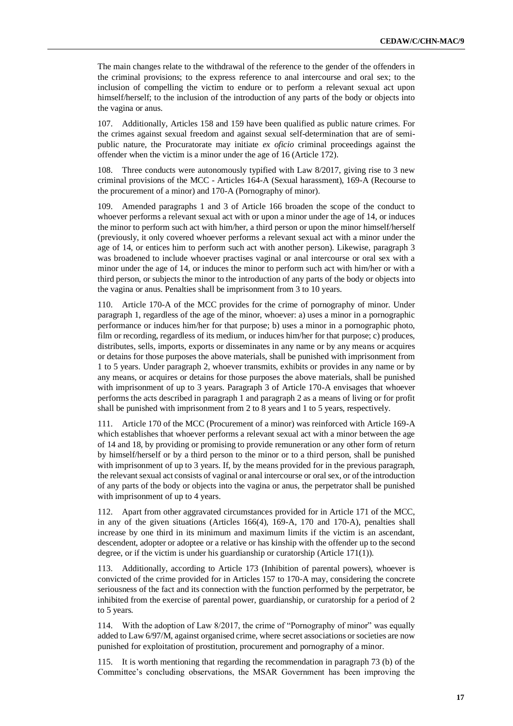The main changes relate to the withdrawal of the reference to the gender of the offenders in the criminal provisions; to the express reference to anal intercourse and oral sex; to the inclusion of compelling the victim to endure or to perform a relevant sexual act upon himself/herself; to the inclusion of the introduction of any parts of the body or objects into the vagina or anus.

107. Additionally, Articles 158 and 159 have been qualified as public nature crimes. For the crimes against sexual freedom and against sexual self-determination that are of semipublic nature, the Procuratorate may initiate *ex oficio* criminal proceedings against the offender when the victim is a minor under the age of 16 (Article 172).

108. Three conducts were autonomously typified with Law 8/2017, giving rise to 3 new criminal provisions of the MCC - Articles 164-A (Sexual harassment), 169-A (Recourse to the procurement of a minor) and 170-A (Pornography of minor).

109. Amended paragraphs 1 and 3 of Article 166 broaden the scope of the conduct to whoever performs a relevant sexual act with or upon a minor under the age of 14, or induces the minor to perform such act with him/her, a third person or upon the minor himself/herself (previously, it only covered whoever performs a relevant sexual act with a minor under the age of 14, or entices him to perform such act with another person). Likewise, paragraph 3 was broadened to include whoever practises vaginal or anal intercourse or oral sex with a minor under the age of 14, or induces the minor to perform such act with him/her or with a third person, or subjects the minor to the introduction of any parts of the body or objects into the vagina or anus. Penalties shall be imprisonment from 3 to 10 years.

110. Article 170-A of the MCC provides for the crime of pornography of minor. Under paragraph 1, regardless of the age of the minor, whoever: a) uses a minor in a pornographic performance or induces him/her for that purpose; b) uses a minor in a pornographic photo, film or recording, regardless of its medium, or induces him/her for that purpose; c) produces, distributes, sells, imports, exports or disseminates in any name or by any means or acquires or detains for those purposes the above materials, shall be punished with imprisonment from 1 to 5 years. Under paragraph 2, whoever transmits, exhibits or provides in any name or by any means, or acquires or detains for those purposes the above materials, shall be punished with imprisonment of up to 3 years. Paragraph 3 of Article 170-A envisages that whoever performs the acts described in paragraph 1 and paragraph 2 as a means of living or for profit shall be punished with imprisonment from 2 to 8 years and 1 to 5 years, respectively.

111. Article 170 of the MCC (Procurement of a minor) was reinforced with Article 169-A which establishes that whoever performs a relevant sexual act with a minor between the age of 14 and 18, by providing or promising to provide remuneration or any other form of return by himself/herself or by a third person to the minor or to a third person, shall be punished with imprisonment of up to 3 years. If, by the means provided for in the previous paragraph, the relevant sexual act consists of vaginal or anal intercourse or oral sex, or of the introduction of any parts of the body or objects into the vagina or anus, the perpetrator shall be punished with imprisonment of up to 4 years.

112. Apart from other aggravated circumstances provided for in Article 171 of the MCC, in any of the given situations (Articles 166(4), 169-A, 170 and 170-A), penalties shall increase by one third in its minimum and maximum limits if the victim is an ascendant, descendent, adopter or adoptee or a relative or has kinship with the offender up to the second degree, or if the victim is under his guardianship or curatorship (Article 171(1)).

113. Additionally, according to Article 173 (Inhibition of parental powers), whoever is convicted of the crime provided for in Articles 157 to 170-A may, considering the concrete seriousness of the fact and its connection with the function performed by the perpetrator, be inhibited from the exercise of parental power, guardianship, or curatorship for a period of 2 to 5 years.

114. With the adoption of Law 8/2017, the crime of "Pornography of minor" was equally added to Law 6/97/M, against organised crime, where secret associations or societies are now punished for exploitation of prostitution, procurement and pornography of a minor.

115. It is worth mentioning that regarding the recommendation in paragraph 73 (b) of the Committee's concluding observations, the MSAR Government has been improving the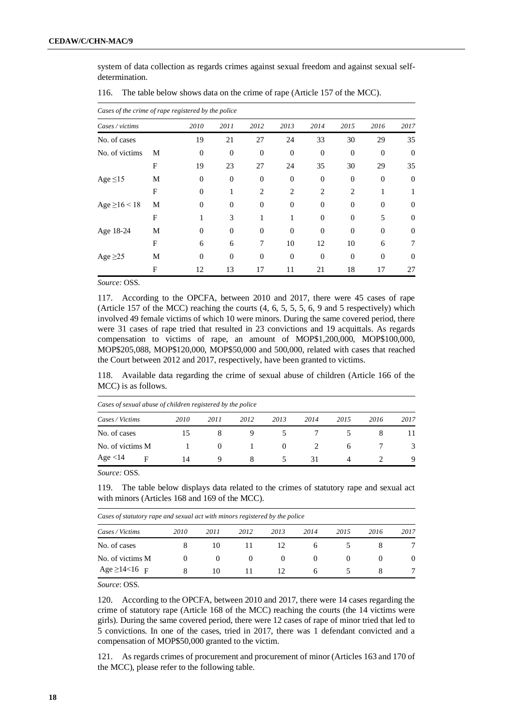system of data collection as regards crimes against sexual freedom and against sexual selfdetermination.

|                    | Cases of the crime of rape registered by the police |                |          |                |          |          |          |          |          |  |  |  |  |  |
|--------------------|-----------------------------------------------------|----------------|----------|----------------|----------|----------|----------|----------|----------|--|--|--|--|--|
| Cases / victims    |                                                     | 2010           | 2011     | 2012           | 2013     | 2014     | 2015     | 2016     | 2017     |  |  |  |  |  |
| No. of cases       |                                                     | 19             | 21       | 27             | 24       | 33       | 30       | 29       | 35       |  |  |  |  |  |
| No. of victims     | M                                                   | $\overline{0}$ | $\Omega$ | $\overline{0}$ | $\Omega$ | $\Omega$ | $\Omega$ | $\Omega$ | $\Omega$ |  |  |  |  |  |
|                    | F                                                   | 19             | 23       | 27             | 24       | 35       | 30       | 29       | 35       |  |  |  |  |  |
| Age $\leq$ 15      | M                                                   | $\theta$       | $\Omega$ | $\Omega$       | $\Omega$ | $\Omega$ | $\Omega$ | $\Omega$ | $\Omega$ |  |  |  |  |  |
|                    | F                                                   | $\theta$       | 1        | 2              | 2        | 2        | 2        | 1        |          |  |  |  |  |  |
| Age $\geq$ 16 < 18 | M                                                   | $\theta$       | $\theta$ | $\theta$       | $\Omega$ | $\Omega$ | $\Omega$ | $\Omega$ | $\Omega$ |  |  |  |  |  |
|                    | F                                                   | 1              | 3        | 1              | 1        | $\Omega$ | $\Omega$ | 5        | $\theta$ |  |  |  |  |  |
| Age 18-24          | М                                                   | $\theta$       | $\theta$ | $\overline{0}$ | $\Omega$ | $\Omega$ | $\Omega$ | $\Omega$ | $\Omega$ |  |  |  |  |  |
|                    | F                                                   | 6              | 6        | 7              | 10       | 12       | 10       | 6        | 7        |  |  |  |  |  |
| Age $\geq$ 25      | М                                                   | $\Omega$       | $\theta$ | $\Omega$       | $\theta$ | $\theta$ | $\Omega$ | $\theta$ | $\Omega$ |  |  |  |  |  |
|                    | F                                                   | 12             | 13       | 17             | 11       | 21       | 18       | 17       | 27       |  |  |  |  |  |

116. The table below shows data on the crime of rape (Article 157 of the MCC).

*Source:* OSS.

117. According to the OPCFA, between 2010 and 2017, there were 45 cases of rape (Article 157 of the MCC) reaching the courts (4, 6, 5, 5, 5, 6, 9 and 5 respectively) which involved 49 female victims of which 10 were minors. During the same covered period, there were 31 cases of rape tried that resulted in 23 convictions and 19 acquittals. As regards compensation to victims of rape, an amount of MOP\$1,200,000, MOP\$100,000, MOP\$205,088, MOP\$120,000, MOP\$50,000 and 500,000, related with cases that reached the Court between 2012 and 2017, respectively, have been granted to victims.

118. Available data regarding the crime of sexual abuse of children (Article 166 of the MCC) is as follows.

|                  | Cases of sexual abuse of children registered by the police |      |          |      |          |      |      |      |      |  |  |  |  |
|------------------|------------------------------------------------------------|------|----------|------|----------|------|------|------|------|--|--|--|--|
| Cases / Victims  |                                                            | 2010 | 2011     | 2012 | 2013     | 2014 | 2015 | 2016 | 2017 |  |  |  |  |
| No. of cases     |                                                            |      |          |      |          |      |      |      | 11   |  |  |  |  |
| No. of victims M |                                                            |      | $\theta$ |      | $\theta$ |      | 6    |      | 3    |  |  |  |  |
| Age $<$ 14       | F                                                          | 14   |          | 8    |          | 31   |      |      | 9    |  |  |  |  |

*Source:* OSS.

119. The table below displays data related to the crimes of statutory rape and sexual act with minors (Articles 168 and 169 of the MCC).

|  |  |  | Cases of statutory rape and sexual act with minors registered by the police |  |
|--|--|--|-----------------------------------------------------------------------------|--|
|  |  |  |                                                                             |  |

| Cases / Victims     | 2010 | 2011 | 2012 | 2013     | 2014         | 2015 | 2016 | 2017 |
|---------------------|------|------|------|----------|--------------|------|------|------|
| No. of cases        |      | 10   |      | 12       | <sub>0</sub> |      |      |      |
| No. of victims M    |      |      |      | $\theta$ | $\theta$     |      |      |      |
| $Age \ge 14 < 16$ F |      | 10   |      | 12       | <sub>6</sub> |      |      |      |

*Source*: OSS.

120. According to the OPCFA, between 2010 and 2017, there were 14 cases regarding the crime of statutory rape (Article 168 of the MCC) reaching the courts (the 14 victims were girls). During the same covered period, there were 12 cases of rape of minor tried that led to 5 convictions. In one of the cases, tried in 2017, there was 1 defendant convicted and a compensation of MOP\$50,000 granted to the victim.

121. As regards crimes of procurement and procurement of minor (Articles 163 and 170 of the MCC), please refer to the following table.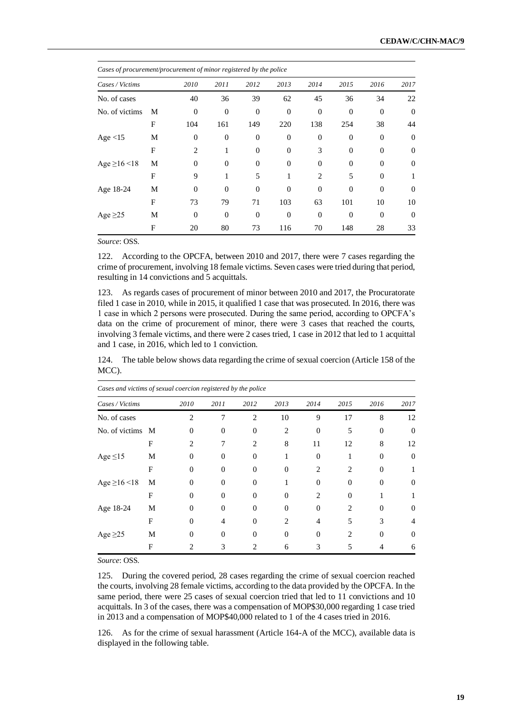| Cases of procurement/procurement of minor registered by the police |   |                |                  |              |          |                |          |                |          |
|--------------------------------------------------------------------|---|----------------|------------------|--------------|----------|----------------|----------|----------------|----------|
| Cases / Victims                                                    |   | 2010           | 2011             | 2012         | 2013     | 2014           | 2015     | 2016           | 2017     |
| No. of cases                                                       |   | 40             | 36               | 39           | 62       | 45             | 36       | 34             | 22       |
| No. of victims                                                     | M | $\theta$       | $\boldsymbol{0}$ | $\mathbf{0}$ | $\Omega$ | $\overline{0}$ | $\theta$ | $\overline{0}$ | $\theta$ |
|                                                                    | F | 104            | 161              | 149          | 220      | 138            | 254      | 38             | 44       |
| Age $<$ 15                                                         | М | $\overline{0}$ | $\boldsymbol{0}$ | $\mathbf{0}$ | $\theta$ | 0              | $\theta$ | $\overline{0}$ | $\theta$ |
|                                                                    | F | $\overline{c}$ | 1                | $\Omega$     | $\Omega$ | 3              | $\Omega$ | $\Omega$       | $\theta$ |
| Age $\geq$ 16 <18                                                  | M | $\Omega$       | $\theta$         | $\Omega$     | $\Omega$ | $\Omega$       | $\Omega$ | $\Omega$       | $\Omega$ |
|                                                                    | F | 9              | 1                | 5            | 1        | $\overline{2}$ | 5        | $\Omega$       | 1        |
| Age 18-24                                                          | M | $\Omega$       | $\Omega$         | $\Omega$     | $\Omega$ | $\Omega$       | $\Omega$ | $\theta$       | $\Omega$ |
|                                                                    | F | 73             | 79               | 71           | 103      | 63             | 101      | 10             | 10       |
| Age $\geq$ 25                                                      | М | $\Omega$       | $\theta$         | $\Omega$     | $\Omega$ | $\overline{0}$ | $\theta$ | $\overline{0}$ | $\theta$ |
|                                                                    | F | 20             | 80               | 73           | 116      | 70             | 148      | 28             | 33       |

*Source*: OSS.

122. According to the OPCFA, between 2010 and 2017, there were 7 cases regarding the crime of procurement, involving 18 female victims. Seven cases were tried during that period, resulting in 14 convictions and 5 acquittals.

123. As regards cases of procurement of minor between 2010 and 2017, the Procuratorate filed 1 case in 2010, while in 2015, it qualified 1 case that was prosecuted. In 2016, there was 1 case in which 2 persons were prosecuted. During the same period, according to OPCFA's data on the crime of procurement of minor, there were 3 cases that reached the courts, involving 3 female victims, and there were 2 cases tried, 1 case in 2012 that led to 1 acquittal and 1 case, in 2016, which led to 1 conviction.

124. The table below shows data regarding the crime of sexual coercion (Article 158 of the MCC).

| Cases and victims of sexual coercion registered by the police |              |          |                   |          |                   |          |                             |          |          |
|---------------------------------------------------------------|--------------|----------|-------------------|----------|-------------------|----------|-----------------------------|----------|----------|
| Cases / Victims                                               |              | 2010     | 2011              | 2012     | 2013              | 2014     | 2015                        | 2016     | 2017     |
| No. of cases                                                  |              | 2        |                   | 2        | 10                | 9        | 17                          | 8        | 12       |
| No. of victims                                                | M            | $\Omega$ | 0                 | $\Omega$ | $\overline{c}$    | $\Omega$ | 5                           | $\Omega$ | $\Omega$ |
|                                                               | F            | 2        |                   | 2        | 8                 | 11       | 12                          | 8        | 12       |
| Age $\leq$ 15                                                 | M            | $_{0}$   | $\mathbf{\Omega}$ | 0        |                   | $\Omega$ |                             | 0        | $\theta$ |
|                                                               | F            | 0        | 0                 | 0        |                   | 2        | 2                           |          |          |
| Age $\geq$ 16 <18                                             | М            |          |                   |          |                   |          | 0                           |          | 0        |
|                                                               | $\mathbf{F}$ | 0        | $\Omega$          | $\Omega$ | $\mathbf{\Omega}$ | っ        | 0                           |          |          |
| Age 18-24                                                     | М            | 0        | $\Omega$          | $\Omega$ | $\Omega$          | $\Omega$ | $\mathfrak{D}$              | 0        | $\Omega$ |
|                                                               | F            | 0        | 4                 | $\Omega$ | 2                 |          | 5                           | 3        | 4        |
| Age $\geq$ 25                                                 | М            | 0        | 0                 | 0        | $\Omega$          | 0        | $\mathcal{D}_{\mathcal{L}}$ | 0        | $\Omega$ |
|                                                               | F            |          | 3                 |          | 6                 | 3        |                             |          | 6        |

*Source*: OSS.

125. During the covered period, 28 cases regarding the crime of sexual coercion reached the courts, involving 28 female victims, according to the data provided by the OPCFA. In the same period, there were 25 cases of sexual coercion tried that led to 11 convictions and 10 acquittals. In 3 of the cases, there was a compensation of MOP\$30,000 regarding 1 case tried in 2013 and a compensation of MOP\$40,000 related to 1 of the 4 cases tried in 2016.

126. As for the crime of sexual harassment (Article 164-A of the MCC), available data is displayed in the following table.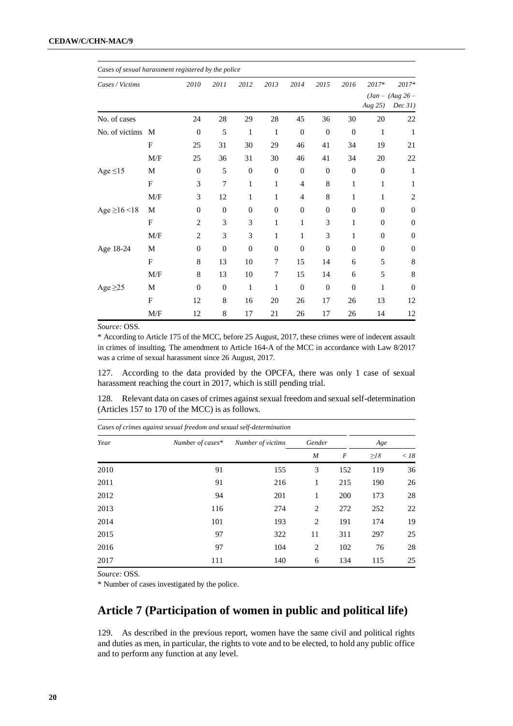| Cases of sexual harassment registered by the police |     |                |          |              |              |          |                  |                  |                  |                               |
|-----------------------------------------------------|-----|----------------|----------|--------------|--------------|----------|------------------|------------------|------------------|-------------------------------|
| Cases / Victims                                     |     | 2010           | 2011     | 2012         | 2013         | 2014     | 2015             | 2016             | 2017*            | 2017*                         |
|                                                     |     |                |          |              |              |          |                  |                  | Aug 25)          | $(Jan - (Aug 26 -$<br>Dec 31) |
| No. of cases                                        |     | 24             | 28       | 29           | 28           | 45       | 36               | 30               | 20               | 22                            |
| No. of victims M                                    |     | $\theta$       | 5        | 1            | 1            | $\theta$ | $\theta$         | $\theta$         | 1                | 1                             |
|                                                     | F   | 25             | 31       | 30           | 29           | 46       | 41               | 34               | 19               | 21                            |
|                                                     | M/F | 25             | 36       | 31           | 30           | 46       | 41               | 34               | 20               | 22                            |
| Age $\leq$ 15                                       | M   | $\mathbf{0}$   | 5        | $\mathbf{0}$ | $\mathbf{0}$ | $\theta$ | $\boldsymbol{0}$ | $\boldsymbol{0}$ | $\mathbf{0}$     | 1                             |
|                                                     | F   | 3              | 7        | $\mathbf{1}$ | 1            | 4        | 8                | 1                | 1                | 1                             |
|                                                     | M/F | 3              | 12       | 1            | 1            | 4        | 8                | 1                | 1                | $\overline{c}$                |
| Age $\geq$ 16 < 18                                  | M   | $\overline{0}$ | $\theta$ | $\theta$     | $\theta$     | $\theta$ | $\overline{0}$   | $\theta$         | $\theta$         | $\overline{0}$                |
|                                                     | F   | 2              | 3        | 3            | 1            | 1        | 3                | 1                | $\overline{0}$   | $\overline{0}$                |
|                                                     | M/F | $\overline{c}$ | 3        | 3            | 1            | 1        | 3                | 1                | $\overline{0}$   | $\theta$                      |
| Age 18-24                                           | M   | $\overline{0}$ | $\theta$ | $\theta$     | $\theta$     | $\theta$ | $\theta$         | $\theta$         | $\boldsymbol{0}$ | $\mathbf{0}$                  |
|                                                     | F   | 8              | 13       | 10           | 7            | 15       | 14               | 6                | 5                | 8                             |
|                                                     | M/F | 8              | 13       | 10           | 7            | 15       | 14               | 6                | 5                | 8                             |
| Age $\geq$ 25                                       | M   | $\overline{0}$ | $\theta$ | 1            | 1            | $\theta$ | $\theta$         | $\theta$         | 1                | $\overline{0}$                |
|                                                     | F   | 12             | 8        | 16           | 20           | 26       | 17               | 26               | 13               | 12                            |
|                                                     | M/F | 12             | 8        | 17           | 21           | 26       | 17               | 26               | 14               | 12                            |

*Source:* OSS.

\* According to Article 175 of the MCC, before 25 August, 2017, these crimes were of indecent assault in crimes of insulting. The amendment to Article 164-A of the MCC in accordance with Law 8/2017 was a crime of sexual harassment since 26 August, 2017.

127. According to the data provided by the OPCFA, there was only 1 case of sexual harassment reaching the court in 2017, which is still pending trial.

128. Relevant data on cases of crimes against sexual freedom and sexual self-determination (Articles 157 to 170 of the MCC) is as follows.

| Cases of crimes against sexual freedom and sexual self-determination |                  |                   |                  |            |           |        |  |  |  |  |  |
|----------------------------------------------------------------------|------------------|-------------------|------------------|------------|-----------|--------|--|--|--|--|--|
| Year                                                                 | Number of cases* | Number of victims | Gender           |            | Age       |        |  |  |  |  |  |
|                                                                      |                  |                   | $\boldsymbol{M}$ | F          | $\geq$ 18 | $<$ 18 |  |  |  |  |  |
| 2010                                                                 | 91               | 155               | 3                | 152        | 119       | 36     |  |  |  |  |  |
| 2011                                                                 | 91               | 216               | 1                | 215        | 190       | 26     |  |  |  |  |  |
| 2012                                                                 | 94               | 201               | 1                | <b>200</b> | 173       | 28     |  |  |  |  |  |
| 2013                                                                 | 116              | 274               | 2                | 272        | 252       | 22     |  |  |  |  |  |
| 2014                                                                 | 101              | 193               | 2                | 191        | 174       | 19     |  |  |  |  |  |
| 2015                                                                 | 97               | 322               | 11               | 311        | 297       | 25     |  |  |  |  |  |
| 2016                                                                 | 97               | 104               | 2                | 102        | 76        | 28     |  |  |  |  |  |
| 2017                                                                 | 111              | 140               | 6                | 134        | 115       | 25     |  |  |  |  |  |

*Source:* OSS.

\* Number of cases investigated by the police.

# **Article 7 (Participation of women in public and political life)**

129. As described in the previous report, women have the same civil and political rights and duties as men, in particular, the rights to vote and to be elected, to hold any public office and to perform any function at any level.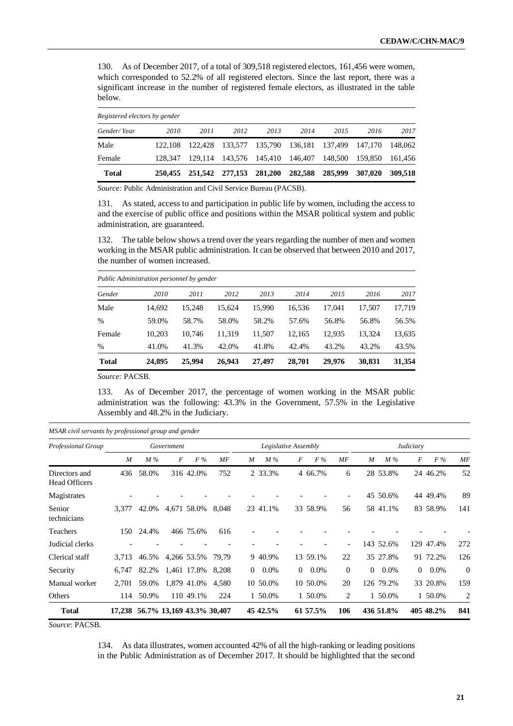130. As of December 2017, of a total of 309,518 registered electors, 161,456 were women, which corresponded to 52.2% of all registered electors. Since the last report, there was a significant increase in the number of registered female electors, as illustrated in the table below.

|             | Registered electors by gender |      |      |                                                 |      |      |         |         |  |  |  |  |  |  |
|-------------|-------------------------------|------|------|-------------------------------------------------|------|------|---------|---------|--|--|--|--|--|--|
| Gender/Year | 2010                          | 2011 | 2012 | 2013                                            | 2014 | 2015 | 2016    | 2017    |  |  |  |  |  |  |
| Male        | 122.108                       |      |      | 122,428 133,577 135,790 136,181 137,499 147,170 |      |      |         | 148,062 |  |  |  |  |  |  |
| Female      | 128.347                       |      |      | 129,114 143,576 145,410 146,407 148,500         |      |      | 159,850 | 161,456 |  |  |  |  |  |  |
| Total       |                               |      |      | 250,455 251,542 277,153 281,200 282,588 285,999 |      |      | 307.020 | 309.518 |  |  |  |  |  |  |

*Source:* Public Administration and Civil Service Bureau (PACSB).

131. As stated, access to and participation in public life by women, including the access to and the exercise of public office and positions within the MSAR political system and public administration, are guaranteed.

132. The table below shows a trend over the years regarding the number of men and women working in the MSAR public administration. It can be observed that between 2010 and 2017, the number of women increased.

| 2010   | 2011   | 2012   | 2013                                      | 2014   | 2015   | 2016   | 2017   |
|--------|--------|--------|-------------------------------------------|--------|--------|--------|--------|
| 14,692 | 15.248 | 15,624 | 15,990                                    | 16,536 | 17.041 | 17,507 | 17,719 |
| 59.0%  | 58.7%  | 58.0%  | 58.2%                                     | 57.6%  | 56.8%  | 56.8%  | 56.5%  |
| 10.203 | 10.746 | 11.319 | 11.507                                    | 12.165 | 12.935 | 13.324 | 13,635 |
| 41.0%  | 41.3%  | 42.0%  | 41.8%                                     | 42.4%  | 43.2%  | 43.2%  | 43.5%  |
| 24,895 | 25,994 | 26,943 | 27,497                                    | 28.701 | 29,976 | 30,831 | 31,354 |
|        |        |        | Public Administration personnel by gender |        |        |        |        |

*Source:* PACSB.

133. As of December 2017, the percentage of women working in the MSAR public administration was the following: 43.3% in the Government, 57.5% in the Legislative Assembly and 48.2% in the Judiciary.

| Professional Group                    |                |       | Government                |             |       | Legislative Assembly |          |          |          |                | Judiciary |           |          |           |                |
|---------------------------------------|----------------|-------|---------------------------|-------------|-------|----------------------|----------|----------|----------|----------------|-----------|-----------|----------|-----------|----------------|
|                                       | $\overline{M}$ | M%    | F                         | F%          | MF    | M                    | $M\%$    | F        | F%       | MF             | M         | M%        | F        | F%        | MF             |
| Directors and<br><b>Head Officers</b> | 436            | 58.0% |                           | 316 42.0%   | 752   |                      | 2 33.3%  |          | 4 66.7%  | 6              |           | 28 53.8%  |          | 24 46.2%  | 52             |
| Magistrates                           |                |       |                           |             |       |                      |          |          |          |                |           | 45 50.6%  |          | 44 49.4%  | 89             |
| Senior<br>technicians                 | 3.377          | 42.0% |                           | 4,671 58.0% | 8.048 |                      | 23 41.1% |          | 33 58.9% | 56             |           | 58 41.1%  |          | 83 58.9%  | 141            |
| Teachers                              | 150            | 24.4% |                           | 466 75.6%   | 616   |                      |          |          |          |                |           |           |          |           |                |
| Judicial clerks                       |                |       |                           |             |       |                      |          |          |          | $\overline{a}$ |           | 143 52.6% |          | 129 47.4% | 272            |
| Clerical staff                        | 3,713          | 46.5% |                           | 4,266 53.5% | 79.79 |                      | 9 40.9%  |          | 13 59.1% | 22             |           | 35 27.8%  |          | 91 72.2%  | 126            |
| Security                              | 6,747          | 82.2% |                           | 1,461 17.8% | 8,208 | $\overline{0}$       | $0.0\%$  | $\Omega$ | $0.0\%$  | $\Omega$       | $\Omega$  | $0.0\%$   | $\Omega$ | $0.0\%$   | $\overline{0}$ |
| Manual worker                         | 2,701          | 59.0% |                           | 1,879 41.0% | 4,580 |                      | 10 50.0% |          | 10 50.0% | 20             |           | 126 79.2% |          | 33 20.8%  | 159            |
| Others                                | 114            | 50.9% |                           | 110 49.1%   | 224   |                      | 1 50.0%  |          | 1 50.0%  | 2              |           | 1 50.0%   |          | 1 50.0%   | 2              |
| <b>Total</b>                          | 17.238         |       | 56.7% 13,169 43.3% 30,407 |             |       |                      | 45 42.5% |          | 61 57.5% | 106            |           | 436 51.8% |          | 405 48.2% | 841            |

*MSAR civil servants by professional group and gender*

*Source*: PACSB.

134. As data illustrates, women accounted 42% of all the high-ranking or leading positions in the Public Administration as of December 2017. It should be highlighted that the second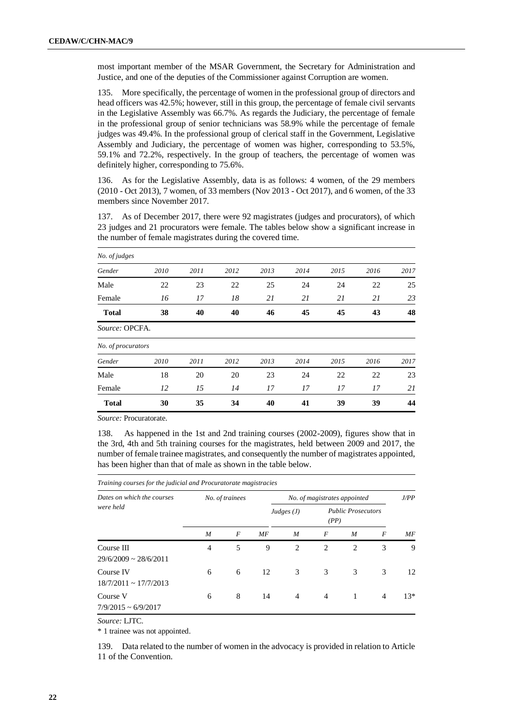most important member of the MSAR Government, the Secretary for Administration and Justice, and one of the deputies of the Commissioner against Corruption are women.

135. More specifically, the percentage of women in the professional group of directors and head officers was 42.5%; however, still in this group, the percentage of female civil servants in the Legislative Assembly was 66.7%. As regards the Judiciary, the percentage of female in the professional group of senior technicians was 58.9% while the percentage of female judges was 49.4%. In the professional group of clerical staff in the Government, Legislative Assembly and Judiciary, the percentage of women was higher, corresponding to 53.5%, 59.1% and 72.2%, respectively. In the group of teachers, the percentage of women was definitely higher, corresponding to 75.6%.

136. As for the Legislative Assembly, data is as follows: 4 women, of the 29 members (2010 - Oct 2013), 7 women, of 33 members (Nov 2013 - Oct 2017), and 6 women, of the 33 members since November 2017.

137. As of December 2017, there were 92 magistrates (judges and procurators), of which 23 judges and 21 procurators were female. The tables below show a significant increase in the number of female magistrates during the covered time.

| No. of judges      |      |      |      |      |      |      |      |      |
|--------------------|------|------|------|------|------|------|------|------|
| Gender             | 2010 | 2011 | 2012 | 2013 | 2014 | 2015 | 2016 | 2017 |
| Male               | 22   | 23   | 22   | 25   | 24   | 24   | 22   | 25   |
| Female             | 16   | 17   | 18   | 21   | 21   | 21   | 21   | 23   |
| <b>Total</b>       | 38   | 40   | 40   | 46   | 45   | 45   | 43   | 48   |
| Source: OPCFA.     |      |      |      |      |      |      |      |      |
| No. of procurators |      |      |      |      |      |      |      |      |
| Gender             | 2010 | 2011 | 2012 | 2013 | 2014 | 2015 | 2016 | 2017 |
| Male               | 18   | 20   | 20   | 23   | 24   | 22   | 22   | 23   |
| Female             | 12   | 15   | 14   | 17   | 17   | 17   | 17   | 21   |
| <b>Total</b>       | 30   | 35   | 34   | 40   | 41   | 39   | 39   | 44   |

*Source:* Procuratorate.

138. As happened in the 1st and 2nd training courses (2002-2009), figures show that in the 3rd, 4th and 5th training courses for the magistrates, held between 2009 and 2017, the number of female trainee magistrates, and consequently the number of magistrates appointed, has been higher than that of male as shown in the table below.

*Training courses for the judicial and Procuratorate magistracies*

| Dates on which the courses               |                | No. of trainees |    | No. of magistrates appointed |   | J/PP                              |   |       |
|------------------------------------------|----------------|-----------------|----|------------------------------|---|-----------------------------------|---|-------|
| were held                                |                |                 |    | Judges $(J)$                 |   | <b>Public Prosecutors</b><br>(PP) |   |       |
|                                          | M              | F               | МF | M                            | F | M                                 | F | MF    |
| Course III<br>$29/6/2009 \sim 28/6/2011$ | $\overline{4}$ | 5               | 9  | 2                            | 2 | 2                                 | 3 | 9     |
| Course IV<br>$18/7/2011 \sim 17/7/2013$  | 6              | 6               | 12 | 3                            | 3 | 3                                 | 3 | 12    |
| Course V<br>$7/9/2015 \sim 6/9/2017$     | 6              | 8               | 14 | $\overline{4}$               | 4 | 1                                 | 4 | $13*$ |

*Source:* LJTC.

\* 1 trainee was not appointed.

139. Data related to the number of women in the advocacy is provided in relation to Article 11 of the Convention.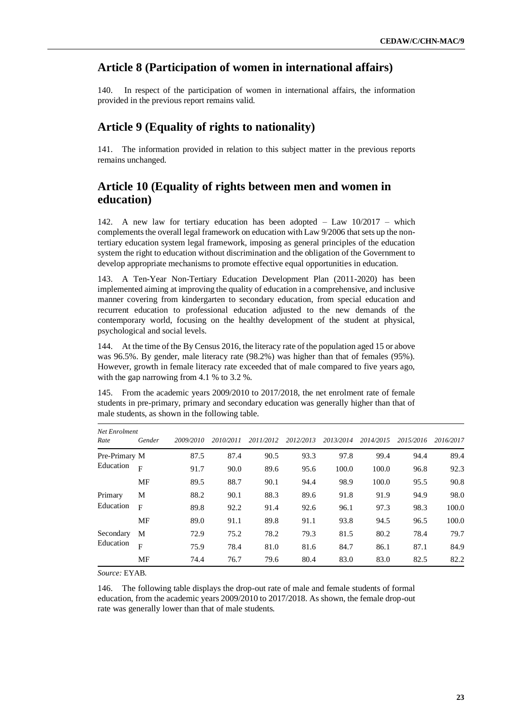#### **Article 8 (Participation of women in international affairs)**

140. In respect of the participation of women in international affairs, the information provided in the previous report remains valid.

#### **Article 9 (Equality of rights to nationality)**

141. The information provided in relation to this subject matter in the previous reports remains unchanged.

# **Article 10 (Equality of rights between men and women in education)**

142. A new law for tertiary education has been adopted – Law 10/2017 – which complements the overall legal framework on education with Law 9/2006 that sets up the nontertiary education system legal framework, imposing as general principles of the education system the right to education without discrimination and the obligation of the Government to develop appropriate mechanisms to promote effective equal opportunities in education.

143. A Ten-Year Non-Tertiary Education Development Plan (2011-2020) has been implemented aiming at improving the quality of education in a comprehensive, and inclusive manner covering from kindergarten to secondary education, from special education and recurrent education to professional education adjusted to the new demands of the contemporary world, focusing on the healthy development of the student at physical, psychological and social levels.

144. At the time of the By Census 2016, the literacy rate of the population aged 15 or above was 96.5%. By gender, male literacy rate (98.2%) was higher than that of females (95%). However, growth in female literacy rate exceeded that of male compared to five years ago, with the gap narrowing from 4.1 % to 3.2 %.

145. From the academic years 2009/2010 to 2017/2018, the net enrolment rate of female students in pre-primary, primary and secondary education was generally higher than that of male students, as shown in the following table.

| Net Enrolment<br>Rate | Gender       | 2009/2010 | 2010/2011 | 2011/2012 | 2012/2013 | 2013/2014 | 2014/2015 | 2015/2016 | 2016/2017 |
|-----------------------|--------------|-----------|-----------|-----------|-----------|-----------|-----------|-----------|-----------|
| Pre-Primary M         |              | 87.5      | 87.4      | 90.5      | 93.3      | 97.8      | 99.4      | 94.4      | 89.4      |
| Education             | $\mathbf{F}$ | 91.7      | 90.0      | 89.6      | 95.6      | 100.0     | 100.0     | 96.8      | 92.3      |
|                       | <b>MF</b>    | 89.5      | 88.7      | 90.1      | 94.4      | 98.9      | 100.0     | 95.5      | 90.8      |
| Primary               | М            | 88.2      | 90.1      | 88.3      | 89.6      | 91.8      | 91.9      | 94.9      | 98.0      |
| Education             | $\mathbf{F}$ | 89.8      | 92.2      | 91.4      | 92.6      | 96.1      | 97.3      | 98.3      | 100.0     |
|                       | MF           | 89.0      | 91.1      | 89.8      | 91.1      | 93.8      | 94.5      | 96.5      | 100.0     |
| Secondary             | M            | 72.9      | 75.2      | 78.2      | 79.3      | 81.5      | 80.2      | 78.4      | 79.7      |
| Education             | $\mathbf{F}$ | 75.9      | 78.4      | 81.0      | 81.6      | 84.7      | 86.1      | 87.1      | 84.9      |
|                       | МF           | 74.4      | 76.7      | 79.6      | 80.4      | 83.0      | 83.0      | 82.5      | 82.2      |

*Source:* EYAB.

146. The following table displays the drop-out rate of male and female students of formal education, from the academic years 2009/2010 to 2017/2018. As shown, the female drop-out rate was generally lower than that of male students.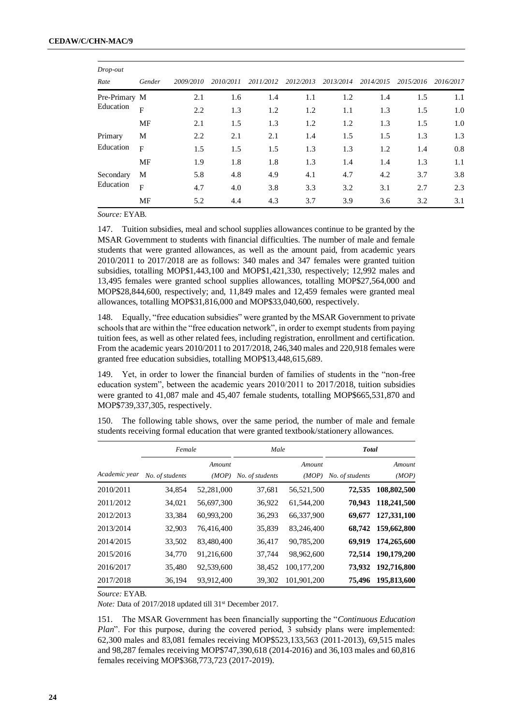| Drop-out      |                |           |           |           |           |           |           |           |           |
|---------------|----------------|-----------|-----------|-----------|-----------|-----------|-----------|-----------|-----------|
| Rate          | Gender         | 2009/2010 | 2010/2011 | 2011/2012 | 2012/2013 | 2013/2014 | 2014/2015 | 2015/2016 | 2016/2017 |
| Pre-Primary M |                | 2.1       | 1.6       | 1.4       | 1.1       | 1.2       | 1.4       | 1.5       | 1.1       |
| Education     | $\overline{F}$ | 2.2       | 1.3       | 1.2       | 1.2       | 1.1       | 1.3       | 1.5       | 1.0       |
|               | <b>MF</b>      | 2.1       | 1.5       | 1.3       | 1.2       | 1.2       | 1.3       | 1.5       | 1.0       |
| Primary       | M              | 2.2       | 2.1       | 2.1       | 1.4       | 1.5       | 1.5       | 1.3       | 1.3       |
| Education     | $\mathbf{F}$   | 1.5       | 1.5       | 1.5       | 1.3       | 1.3       | 1.2       | 1.4       | 0.8       |
|               | <b>MF</b>      | 1.9       | 1.8       | 1.8       | 1.3       | 1.4       | 1.4       | 1.3       | 1.1       |
| Secondary     | M              | 5.8       | 4.8       | 4.9       | 4.1       | 4.7       | 4.2       | 3.7       | 3.8       |
| Education     | $\overline{F}$ | 4.7       | 4.0       | 3.8       | 3.3       | 3.2       | 3.1       | 2.7       | 2.3       |
|               | <b>MF</b>      | 5.2       | 4.4       | 4.3       | 3.7       | 3.9       | 3.6       | 3.2       | 3.1       |

*Source:* EYAB.

147. Tuition subsidies, meal and school supplies allowances continue to be granted by the MSAR Government to students with financial difficulties. The number of male and female students that were granted allowances, as well as the amount paid, from academic years 2010/2011 to 2017/2018 are as follows: 340 males and 347 females were granted tuition subsidies, totalling MOP\$1,443,100 and MOP\$1,421,330, respectively; 12,992 males and 13,495 females were granted school supplies allowances, totalling MOP\$27,564,000 and MOP\$28,844,600, respectively; and, 11,849 males and 12,459 females were granted meal allowances, totalling MOP\$31,816,000 and MOP\$33,040,600, respectively.

148. Equally, "free education subsidies" were granted by the MSAR Government to private schools that are within the "free education network", in order to exempt students from paying tuition fees, as well as other related fees, including registration, enrollment and certification. From the academic years 2010/2011 to 2017/2018, 246,340 males and 220,918 females were granted free education subsidies, totalling MOP\$13,448,615,689.

149. Yet, in order to lower the financial burden of families of students in the "non-free education system", between the academic years  $2010/2011$  to  $2017/2018$ , tuition subsidies were granted to 41,087 male and 45,407 female students, totalling MOP\$665,531,870 and MOP\$739,337,305, respectively.

150. The following table shows, over the same period, the number of male and female students receiving formal education that were granted textbook/stationery allowances.

|               | Female          |                 | Male            |                 | <b>Total</b>    |                 |  |
|---------------|-----------------|-----------------|-----------------|-----------------|-----------------|-----------------|--|
| Academic year | No. of students | Amount<br>(MOP) | No. of students | Amount<br>(MOP) | No. of students | Amount<br>(MOP) |  |
| 2010/2011     | 34,854          | 52,281,000      | 37,681          | 56,521,500      | 72,535          | 108,802,500     |  |
| 2011/2012     | 34,021          | 56,697,300      | 36,922          | 61,544,200      | 70.943          | 118,241,500     |  |
| 2012/2013     | 33,384          | 60,993,200      | 36,293          | 66,337,900      | 69.677          | 127,331,100     |  |
| 2013/2014     | 32,903          | 76,416,400      | 35,839          | 83,246,400      | 68.742          | 159,662,800     |  |
| 2014/2015     | 33,502          | 83,480,400      | 36,417          | 90,785,200      | 69.919          | 174,265,600     |  |
| 2015/2016     | 34,770          | 91,216,600      | 37,744          | 98,962,600      | 72,514          | 190,179,200     |  |
| 2016/2017     | 35,480          | 92,539,600      | 38,452          | 100,177,200     | 73,932          | 192,716,800     |  |
| 2017/2018     | 36,194          | 93,912,400      | 39,302          | 101,901,200     | 75,496          | 195,813,600     |  |

*Source:* EYAB.

*Note:* Data of 2017/2018 updated till 31st December 2017.

151. The MSAR Government has been financially supporting the "*Continuous Education Plan*". For this purpose, during the covered period, 3 subsidy plans were implemented: 62,300 males and 83,081 females receiving MOP\$523,133,563 (2011-2013), 69,515 males and 98,287 females receiving MOP\$747,390,618 (2014-2016) and 36,103 males and 60,816 females receiving MOP\$368,773,723 (2017-2019).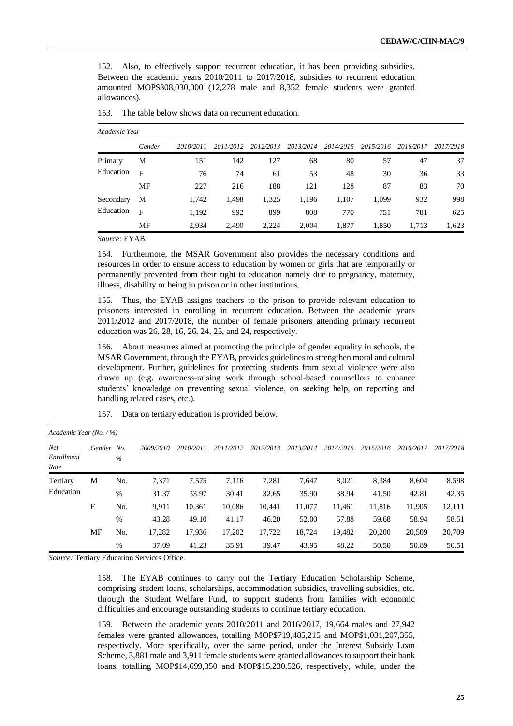152. Also, to effectively support recurrent education, it has been providing subsidies. Between the academic years 2010/2011 to 2017/2018, subsidies to recurrent education amounted MOP\$308,030,000 (12,278 male and 8,352 female students were granted allowances).

|           | Academic Year |           |           |           |           |           |           |           |           |  |  |  |  |
|-----------|---------------|-----------|-----------|-----------|-----------|-----------|-----------|-----------|-----------|--|--|--|--|
|           | Gender        | 2010/2011 | 2011/2012 | 2012/2013 | 2013/2014 | 2014/2015 | 2015/2016 | 2016/2017 | 2017/2018 |  |  |  |  |
| Primary   | М             | 151       | 142       | 127       | 68        | 80        | 57        | 47        | 37        |  |  |  |  |
| Education | F             | 76        | 74        | 61        | 53        | 48        | 30        | 36        | 33        |  |  |  |  |
|           | MF            | 227       | 216       | 188       | 121       | 128       | 87        | 83        | 70        |  |  |  |  |
| Secondary | М             | 1,742     | 1,498     | 1,325     | 1,196     | 1,107     | 1,099     | 932       | 998       |  |  |  |  |
| Education | $\mathbf{F}$  | 1,192     | 992       | 899       | 808       | 770       | 751       | 781       | 625       |  |  |  |  |
|           | MF            | 2.934     | 2,490     | 2.224     | 2.004     | 1,877     | 1,850     | 1,713     | 1,623     |  |  |  |  |

| The table below shows data on recurrent education.<br>153. |  |
|------------------------------------------------------------|--|
|------------------------------------------------------------|--|

*Source:* EYAB.

154. Furthermore, the MSAR Government also provides the necessary conditions and resources in order to ensure access to education by women or girls that are temporarily or permanently prevented from their right to education namely due to pregnancy, maternity, illness, disability or being in prison or in other institutions.

155. Thus, the EYAB assigns teachers to the prison to provide relevant education to prisoners interested in enrolling in recurrent education. Between the academic years 2011/2012 and 2017/2018, the number of female prisoners attending primary recurrent education was 26, 28, 16, 26, 24, 25, and 24, respectively.

156. About measures aimed at promoting the principle of gender equality in schools, the MSAR Government, through the EYAB, provides guidelines to strengthen moral and cultural development. Further, guidelines for protecting students from sexual violence were also drawn up (e.g. awareness-raising work through school-based counsellors to enhance students' knowledge on preventing sexual violence, on seeking help, on reporting and handling related cases, etc.).

|                                       | Academic Year $(No. / %)$ |               |           |           |           |           |           |           |           |           |           |  |  |
|---------------------------------------|---------------------------|---------------|-----------|-----------|-----------|-----------|-----------|-----------|-----------|-----------|-----------|--|--|
| Net <sub></sub><br>Enrollment<br>Rate | Gender No.                | $\%$          | 2009/2010 | 2010/2011 | 2011/2012 | 2012/2013 | 2013/2014 | 2014/2015 | 2015/2016 | 2016/2017 | 2017/2018 |  |  |
| Tertiary<br>Education                 | M                         | No.           | 7,371     | 7,575     | 7,116     | 7,281     | 7,647     | 8,021     | 8,384     | 8,604     | 8,598     |  |  |
|                                       |                           | $\%$          | 31.37     | 33.97     | 30.41     | 32.65     | 35.90     | 38.94     | 41.50     | 42.81     | 42.35     |  |  |
|                                       | F                         | No.           | 9.911     | 10,361    | 10.086    | 10,441    | 11,077    | 11,461    | 11,816    | 11,905    | 12,111    |  |  |
|                                       |                           | $\frac{0}{0}$ | 43.28     | 49.10     | 41.17     | 46.20     | 52.00     | 57.88     | 59.68     | 58.94     | 58.51     |  |  |
|                                       | MF                        | No.           | 17,282    | 17,936    | 17,202    | 17,722    | 18,724    | 19,482    | 20,200    | 20,509    | 20,709    |  |  |
|                                       |                           | $\frac{0}{0}$ | 37.09     | 41.23     | 35.91     | 39.47     | 43.95     | 48.22     | 50.50     | 50.89     | 50.51     |  |  |

157. Data on tertiary education is provided below.

*Source:* Tertiary Education Services Office.

158. The EYAB continues to carry out the Tertiary Education Scholarship Scheme, comprising student loans, scholarships, accommodation subsidies, travelling subsidies, etc. through the Student Welfare Fund, to support students from families with economic difficulties and encourage outstanding students to continue tertiary education.

159. Between the academic years 2010/2011 and 2016/2017, 19,664 males and 27,942 females were granted allowances, totalling MOP\$719,485,215 and MOP\$1,031,207,355, respectively. More specifically, over the same period, under the Interest Subsidy Loan Scheme, 3,881 male and 3,911 female students were granted allowances to support their bank loans, totalling MOP\$14,699,350 and MOP\$15,230,526, respectively, while, under the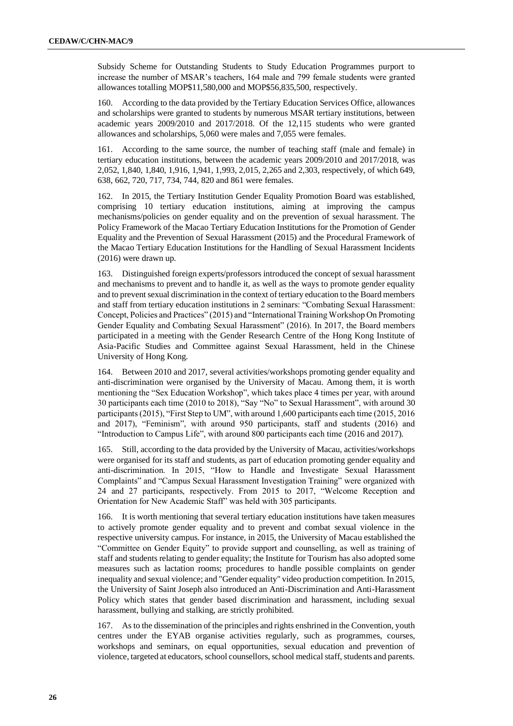Subsidy Scheme for Outstanding Students to Study Education Programmes purport to increase the number of MSAR's teachers, 164 male and 799 female students were granted allowances totalling MOP\$11,580,000 and MOP\$56,835,500, respectively.

160. According to the data provided by the Tertiary Education Services Office, allowances and scholarships were granted to students by numerous MSAR tertiary institutions, between academic years 2009/2010 and 2017/2018. Of the 12,115 students who were granted allowances and scholarships, 5,060 were males and 7,055 were females.

161. According to the same source, the number of teaching staff (male and female) in tertiary education institutions, between the academic years 2009/2010 and 2017/2018, was 2,052, 1,840, 1,840, 1,916, 1,941, 1,993, 2,015, 2,265 and 2,303, respectively, of which 649, 638, 662, 720, 717, 734, 744, 820 and 861 were females.

162. In 2015, the Tertiary Institution Gender Equality Promotion Board was established, comprising 10 tertiary education institutions, aiming at improving the campus mechanisms/policies on gender equality and on the prevention of sexual harassment. The Policy Framework of the Macao Tertiary Education Institutions for the Promotion of Gender Equality and the Prevention of Sexual Harassment (2015) and the Procedural Framework of the Macao Tertiary Education Institutions for the Handling of Sexual Harassment Incidents (2016) were drawn up.

163. Distinguished foreign experts/professors introduced the concept of sexual harassment and mechanisms to prevent and to handle it, as well as the ways to promote gender equality and to prevent sexual discrimination in the context of tertiary education to the Board members and staff from tertiary education institutions in 2 seminars: "Combating Sexual Harassment: Concept, Policies and Practices" (2015) and "International Training Workshop On Promoting Gender Equality and Combating Sexual Harassment" (2016). In 2017, the Board members participated in a meeting with the Gender Research Centre of the Hong Kong Institute of Asia-Pacific Studies and Committee against Sexual Harassment, held in the Chinese University of Hong Kong.

164. Between 2010 and 2017, several activities/workshops promoting gender equality and anti-discrimination were organised by the University of Macau. Among them, it is worth mentioning the "Sex Education Workshop", which takes place 4 times per year, with around 30 participants each time (2010 to 2018), "Say "No" to Sexual Harassment", with around 30 participants (2015), "First Step to UM", with around 1,600 participants each time (2015, 2016 and 2017), "Feminism", with around 950 participants, staff and students (2016) and "Introduction to Campus Life", with around 800 participants each time (2016 and 2017).

165. Still, according to the data provided by the University of Macau, activities/workshops were organised for its staff and students, as part of education promoting gender equality and anti-discrimination. In 2015, "How to Handle and Investigate Sexual Harassment Complaints" and "Campus Sexual Harassment Investigation Training" were organized with 24 and 27 participants, respectively. From 2015 to 2017, "Welcome Reception and Orientation for New Academic Staff" was held with 305 participants.

166. It is worth mentioning that several tertiary education institutions have taken measures to actively promote gender equality and to prevent and combat sexual violence in the respective university campus. For instance, in 2015, the University of Macau established the "Committee on Gender Equity" to provide support and counselling, as well as training of staff and students relating to gender equality; the Institute for Tourism has also adopted some measures such as lactation rooms; procedures to handle possible complaints on gender inequality and sexual violence; and "Gender equality" video production competition. In 2015, the University of Saint Joseph also introduced an Anti-Discrimination and Anti-Harassment Policy which states that gender based discrimination and harassment, including sexual harassment, bullying and stalking, are strictly prohibited.

167. As to the dissemination of the principles and rights enshrined in the Convention, youth centres under the EYAB organise activities regularly, such as programmes, courses, workshops and seminars, on equal opportunities, sexual education and prevention of violence, targeted at educators, school counsellors, school medical staff, students and parents.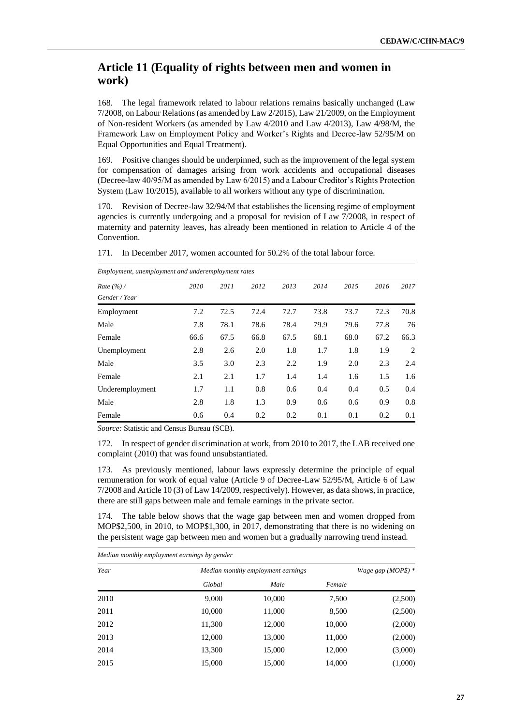# **Article 11 (Equality of rights between men and women in work)**

168. The legal framework related to labour relations remains basically unchanged (Law 7/2008, on Labour Relations (as amended by Law 2/2015), Law 21/2009, on the Employment of Non-resident Workers (as amended by Law 4/2010 and Law 4/2013), Law 4/98/M, the Framework Law on Employment Policy and Worker's Rights and Decree-law 52/95/M on Equal Opportunities and Equal Treatment).

169. Positive changes should be underpinned, such as the improvement of the legal system for compensation of damages arising from work accidents and occupational diseases (Decree-law 40/95/M as amended by Law 6/2015) and a Labour Creditor's Rights Protection System (Law 10/2015), available to all workers without any type of discrimination.

170. Revision of Decree-law 32/94/M that establishes the licensing regime of employment agencies is currently undergoing and a proposal for revision of Law 7/2008, in respect of maternity and paternity leaves, has already been mentioned in relation to Article 4 of the Convention.

| Employment, unemployment and underemployment rates |      |      |      |      |      |      |      |      |  |  |
|----------------------------------------------------|------|------|------|------|------|------|------|------|--|--|
| Rate $(\frac{9}{6})$ /                             | 2010 | 2011 | 2012 | 2013 | 2014 | 2015 | 2016 | 2017 |  |  |
| Gender / Year                                      |      |      |      |      |      |      |      |      |  |  |
| Employment                                         | 7.2  | 72.5 | 72.4 | 72.7 | 73.8 | 73.7 | 72.3 | 70.8 |  |  |
| Male                                               | 7.8  | 78.1 | 78.6 | 78.4 | 79.9 | 79.6 | 77.8 | 76   |  |  |
| Female                                             | 66.6 | 67.5 | 66.8 | 67.5 | 68.1 | 68.0 | 67.2 | 66.3 |  |  |
| Unemployment                                       | 2.8  | 2.6  | 2.0  | 1.8  | 1.7  | 1.8  | 1.9  | 2    |  |  |
| Male                                               | 3.5  | 3.0  | 2.3  | 2.2  | 1.9  | 2.0  | 2.3  | 2.4  |  |  |
| Female                                             | 2.1  | 2.1  | 1.7  | 1.4  | 1.4  | 1.6  | 1.5  | 1.6  |  |  |
| Underemployment                                    | 1.7  | 1.1  | 0.8  | 0.6  | 0.4  | 0.4  | 0.5  | 0.4  |  |  |
| Male                                               | 2.8  | 1.8  | 1.3  | 0.9  | 0.6  | 0.6  | 0.9  | 0.8  |  |  |
| Female                                             | 0.6  | 0.4  | 0.2  | 0.2  | 0.1  | 0.1  | 0.2  | 0.1  |  |  |

*Source:* Statistic and Census Bureau (SCB).

172. In respect of gender discrimination at work, from 2010 to 2017, the LAB received one complaint (2010) that was found unsubstantiated.

173. As previously mentioned, labour laws expressly determine the principle of equal remuneration for work of equal value (Article 9 of Decree-Law 52/95/M, Article 6 of Law 7/2008 and Article 10 (3) of Law 14/2009, respectively). However, as data shows, in practice, there are still gaps between male and female earnings in the private sector.

174. The table below shows that the wage gap between men and women dropped from MOP\$2,500, in 2010, to MOP\$1,300, in 2017, demonstrating that there is no widening on the persistent wage gap between men and women but a gradually narrowing trend instead.

| Median monthly employment earnings by gender |        |                                    |        |         |  |  |  |  |  |
|----------------------------------------------|--------|------------------------------------|--------|---------|--|--|--|--|--|
| Year                                         |        | Median monthly employment earnings |        |         |  |  |  |  |  |
|                                              | Global | Male                               | Female |         |  |  |  |  |  |
| 2010                                         | 9,000  | 10,000                             | 7,500  | (2,500) |  |  |  |  |  |
| 2011                                         | 10,000 | 11,000                             | 8,500  | (2,500) |  |  |  |  |  |
| 2012                                         | 11,300 | 12,000                             | 10,000 | (2,000) |  |  |  |  |  |
| 2013                                         | 12,000 | 13,000                             | 11,000 | (2,000) |  |  |  |  |  |
| 2014                                         | 13,300 | 15,000                             | 12,000 | (3,000) |  |  |  |  |  |
| 2015                                         | 15,000 | 15,000                             | 14,000 | (1,000) |  |  |  |  |  |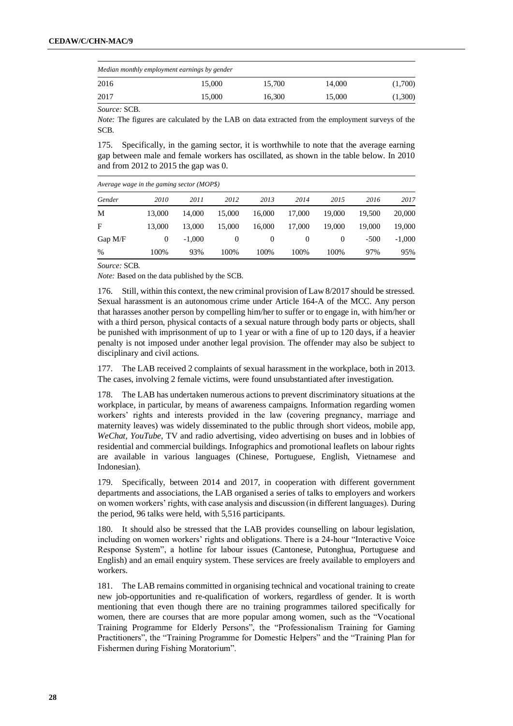| Median monthly employment earnings by gender |        |        |        |         |  |  |  |  |  |
|----------------------------------------------|--------|--------|--------|---------|--|--|--|--|--|
| 2016                                         | 15,000 | 15.700 | 14.000 | (1,700) |  |  |  |  |  |
| 2017                                         | 15,000 | 16.300 | 15,000 | (1,300) |  |  |  |  |  |

*Source:* SCB.

*Note:* The figures are calculated by the LAB on data extracted from the employment surveys of the SCB*.*

175. Specifically, in the gaming sector, it is worthwhile to note that the average earning gap between male and female workers has oscillated, as shown in the table below. In 2010 and from 2012 to 2015 the gap was 0.

|           | Average wage in the gaming sector $(MOP\$ ) |          |          |          |          |          |        |          |  |  |  |  |  |
|-----------|---------------------------------------------|----------|----------|----------|----------|----------|--------|----------|--|--|--|--|--|
| Gender    | 2010                                        | 2011     | 2012     | 2013     | 2014     | 2015     | 2016   | 2017     |  |  |  |  |  |
| М         | 13,000                                      | 14.000   | 15.000   | 16.000   | 17.000   | 19,000   | 19.500 | 20,000   |  |  |  |  |  |
| F         | 13,000                                      | 13,000   | 15,000   | 16.000   | 17.000   | 19,000   | 19,000 | 19,000   |  |  |  |  |  |
| Gap $M/F$ | $\Omega$                                    | $-1.000$ | $\Omega$ | $\theta$ | $\theta$ | $\theta$ | $-500$ | $-1,000$ |  |  |  |  |  |
| $\%$      | 100%                                        | 93%      | 100%     | 100%     | 100%     | 100%     | 97%    | 95%      |  |  |  |  |  |

*Source:* SCB*.*

*Note:* Based on the data published by the SCB.

176. Still, within this context, the new criminal provision of Law 8/2017 should be stressed. Sexual harassment is an autonomous crime under Article 164-A of the MCC. Any person that harasses another person by compelling him/her to suffer or to engage in, with him/her or with a third person, physical contacts of a sexual nature through body parts or objects, shall be punished with imprisonment of up to 1 year or with a fine of up to 120 days, if a heavier penalty is not imposed under another legal provision. The offender may also be subject to disciplinary and civil actions.

177. The LAB received 2 complaints of sexual harassment in the workplace, both in 2013. The cases, involving 2 female victims, were found unsubstantiated after investigation.

178. The LAB has undertaken numerous actions to prevent discriminatory situations at the workplace, in particular, by means of awareness campaigns. Information regarding women workers' rights and interests provided in the law (covering pregnancy, marriage and maternity leaves) was widely disseminated to the public through short videos, mobile app, *WeChat, YouTube*, TV and radio advertising, video advertising on buses and in lobbies of residential and commercial buildings. Infographics and promotional leaflets on labour rights are available in various languages (Chinese, Portuguese, English, Vietnamese and Indonesian).

179. Specifically, between 2014 and 2017, in cooperation with different government departments and associations, the LAB organised a series of talks to employers and workers on women workers' rights, with case analysis and discussion (in different languages). During the period, 96 talks were held, with 5,516 participants.

180. It should also be stressed that the LAB provides counselling on labour legislation, including on women workers' rights and obligations. There is a 24-hour "Interactive Voice Response System", a hotline for labour issues (Cantonese, Putonghua, Portuguese and English) and an email enquiry system. These services are freely available to employers and workers.

181. The LAB remains committed in organising technical and vocational training to create new job-opportunities and re-qualification of workers, regardless of gender. It is worth mentioning that even though there are no training programmes tailored specifically for women, there are courses that are more popular among women, such as the "Vocational Training Programme for Elderly Persons", the "Professionalism Training for Gaming Practitioners", the "Training Programme for Domestic Helpers" and the "Training Plan for Fishermen during Fishing Moratorium".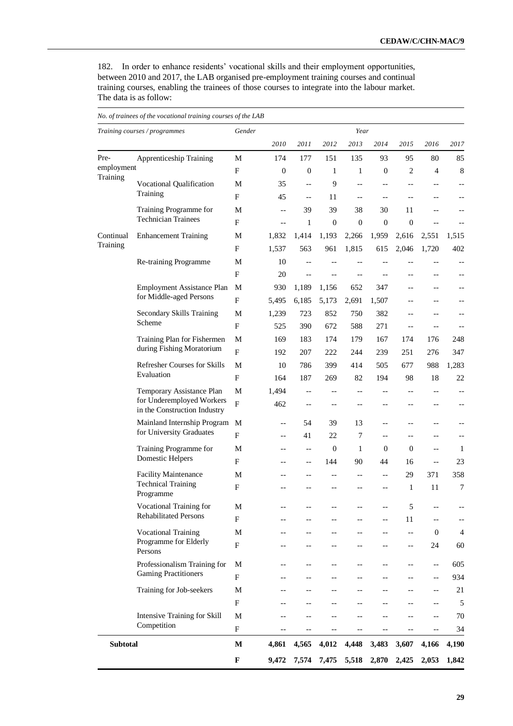182. In order to enhance residents' vocational skills and their employment opportunities, between 2010 and 2017, the LAB organised pre-employment training courses and continual training courses, enabling the trainees of those courses to integrate into the labour market. The data is as follow:

|                        | Training courses / programmes                               | Gender                    |                          |                          |                  | Year             |                  |                   |                          |                   |
|------------------------|-------------------------------------------------------------|---------------------------|--------------------------|--------------------------|------------------|------------------|------------------|-------------------|--------------------------|-------------------|
|                        |                                                             |                           | 2010                     | 2011                     | 2012             | 2013             | 2014             | 2015              | 2016                     | 2017              |
| Pre-                   | <b>Apprenticeship Training</b>                              | M                         | 174                      | 177                      | 151              | 135              | 93               | 95                | 80                       | 85                |
| employment<br>Training |                                                             | ${\bf F}$                 | $\mathbf{0}$             | $\boldsymbol{0}$         | $\mathbf{1}$     | $\mathbf{1}$     | $\mathbf{0}$     | 2                 | $\overline{4}$           | $\,8\,$           |
|                        | Vocational Qualification                                    | $\mathbf M$               | 35                       | $\overline{a}$           | 9                | $-$              | $-$              | $-$               |                          | --                |
|                        | Training                                                    | $\mathbf{F}$              | 45                       | $-$                      | 11               | $-$              | $-$              | $-$               |                          | --                |
|                        | Training Programme for                                      | $\mathbf M$               | $\overline{\phantom{a}}$ | 39                       | 39               | 38               | 30               | 11                |                          |                   |
|                        | <b>Technician Trainees</b>                                  | $\boldsymbol{\mathrm{F}}$ | $-$                      | $\mathbf{1}$             | $\boldsymbol{0}$ | $\boldsymbol{0}$ | $\boldsymbol{0}$ | $\mathbf{0}$      |                          |                   |
| Continual              | <b>Enhancement Training</b>                                 | M                         | 1,832                    | 1,414                    | 1,193            | 2,266            | 1,959            | 2,616             | 2,551                    | 1,515             |
| Training               |                                                             | $_{\rm F}$                | 1,537                    | 563                      | 961              | 1,815            | 615              | 2,046             | 1,720                    | 402               |
|                        | Re-training Programme                                       | M                         | 10                       | $-$                      |                  |                  |                  |                   |                          | $\qquad \qquad -$ |
|                        |                                                             | ${\bf F}$                 | 20                       | $\overline{a}$           |                  | $-$              | $-$              | $-$               |                          | --                |
|                        | <b>Employment Assistance Plan</b>                           | $\mathbf{M}$              | 930                      | 1,189                    | 1,156            | 652              | 347              | --                |                          |                   |
|                        | for Middle-aged Persons                                     | $\rm F$                   | 5,495                    | 6,185                    | 5,173            | 2,691            | 1,507            |                   |                          |                   |
|                        | Secondary Skills Training                                   | M                         | 1,239                    | 723                      | 852              | 750              | 382              | --                |                          |                   |
|                        | Scheme                                                      | ${\bf F}$                 | 525                      | 390                      | 672              | 588              | 271              | $-$               |                          |                   |
|                        | Training Plan for Fishermen                                 | $\mathbf M$               | 169                      | 183                      | 174              | 179              | 167              | 174               | 176                      | 248               |
|                        | during Fishing Moratorium                                   | $\boldsymbol{\mathrm{F}}$ | 192                      | 207                      | 222              | 244              | 239              | 251               | 276                      | 347               |
|                        | Refresher Courses for Skills                                | M                         | 10                       | 786                      | 399              | 414              | 505              | 677               | 988                      | 1,283             |
|                        | Evaluation                                                  | $\mathbf{F}$              | 164                      | 187                      | 269              | 82               | 194              | 98                | 18                       | 22                |
|                        | Temporary Assistance Plan                                   | $\mathbf M$               | 1,494                    | $\overline{\phantom{a}}$ | $-$              | $-\, -$          | $-$              | $\qquad \qquad -$ | $-$                      | --                |
|                        | for Underemployed Workers<br>in the Construction Industry   | F                         | 462                      | $-$                      |                  | $-$              | $-$              | --                |                          | --                |
|                        | Mainland Internship Program                                 | M                         | $\overline{\phantom{m}}$ | 54                       | 39               | 13               | $-$              | $-$               |                          |                   |
|                        | for University Graduates                                    | F                         | $- -$                    | 41                       | 22               | 7                | $-$              | --                |                          | --                |
|                        | Training Programme for                                      | M                         | $-$                      | $\overline{\phantom{a}}$ | $\mathbf{0}$     | $\mathbf{1}$     | $\boldsymbol{0}$ | $\boldsymbol{0}$  | $-$                      | $\mathbf{1}$      |
|                        | Domestic Helpers                                            | $\mathbf{F}$              | --                       | $-\, -$                  | 144              | 90               | 44               | 16                | $-$                      | 23                |
|                        | <b>Facility Maintenance</b>                                 | M                         |                          |                          |                  | $-$              | $-$              | 29                | 371                      | 358               |
|                        | <b>Technical Training</b><br>Programme                      | $\mathbf{F}$              |                          |                          |                  |                  | $-$              | 1                 | 11                       | 7                 |
|                        | Vocational Training for                                     | $\mathbf M$               |                          |                          |                  |                  |                  | 5                 |                          | --                |
|                        | <b>Rehabilitated Persons</b>                                | $\mathbf{F}$              |                          | --                       |                  | --               | $-$              | 11                | $-$                      | --                |
|                        | <b>Vocational Training</b>                                  | $\mathbf M$               |                          |                          |                  |                  |                  | $-$               | $\mathbf{0}$             | $\overline{4}$    |
|                        | Programme for Elderly                                       | $\boldsymbol{\mathrm{F}}$ |                          |                          |                  | --               |                  | --                | 24                       | 60                |
|                        | Persons                                                     |                           |                          |                          |                  |                  |                  |                   |                          |                   |
|                        | Professionalism Training for<br><b>Gaming Practitioners</b> | M                         |                          | $-$                      |                  | $-$              |                  | $-$               | $\qquad \qquad -$        | 605               |
|                        |                                                             | $\mathbf F$               |                          |                          |                  |                  |                  |                   | $-$                      | 934               |
|                        | Training for Job-seekers                                    | M                         |                          |                          |                  |                  |                  |                   | --                       | 21                |
|                        |                                                             | $\boldsymbol{\mathrm{F}}$ |                          |                          |                  |                  |                  |                   |                          | 5                 |
|                        | Intensive Training for Skill<br>Competition                 | M                         |                          |                          |                  |                  |                  |                   |                          | $70\,$            |
|                        |                                                             | ${\bf F}$                 |                          | $-\, -$                  | $-\, -$          | $-$              | --               | --                | $\overline{\phantom{a}}$ | 34                |
| <b>Subtotal</b>        |                                                             | $\mathbf M$               | 4,861                    | 4,565                    | 4,012            | 4,448            | 3,483            | 3,607             | 4,166                    | 4,190             |
|                        |                                                             | $\mathbf F$               | 9,472                    | 7,574                    | 7,475            | 5,518            | 2,870            | 2,425             | 2,053                    | 1,842             |

*No. of trainees of the vocational training courses of the LAB*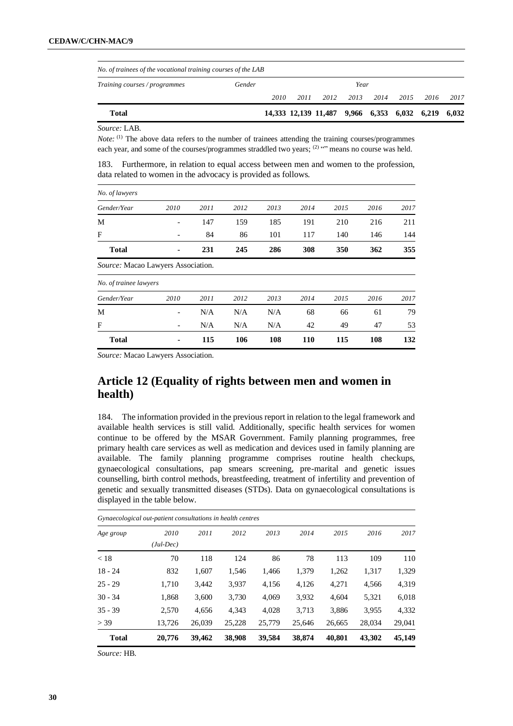| No. of trainees of the vocational training courses of the LAB |        |      |      |                                                    |      |      |      |      |      |  |  |
|---------------------------------------------------------------|--------|------|------|----------------------------------------------------|------|------|------|------|------|--|--|
| <i>Training courses / programmes</i>                          | Gender |      | Year |                                                    |      |      |      |      |      |  |  |
|                                                               |        | 2010 | 2011 | 2012                                               | 2013 | 2014 | 2015 | 2016 | 2017 |  |  |
| Total                                                         |        |      |      | 14,333 12,139 11,487 9,966 6,353 6,032 6,219 6,032 |      |      |      |      |      |  |  |

*Source:* LAB.

*Note*: (1) The above data refers to the number of trainees attending the training courses/programmes each year, and some of the courses/programmes straddled two years; (2) "" means no course was held.

183. Furthermore, in relation to equal access between men and women to the profession, data related to women in the advocacy is provided as follows.

| <b>Total</b>                       |                              | 115  | 106  | 108  | 110  | 115  | 108  | 132  |
|------------------------------------|------------------------------|------|------|------|------|------|------|------|
| F                                  |                              | N/A  | N/A  | N/A  | 42   | 49   | 47   | 53   |
| M                                  | $\overline{\phantom{a}}$     | N/A  | N/A  | N/A  | 68   | 66   | 61   | 79   |
| Gender/Year                        | 2010                         | 2011 | 2012 | 2013 | 2014 | 2015 | 2016 | 2017 |
| No. of trainee lawyers             |                              |      |      |      |      |      |      |      |
| Source: Macao Lawyers Association. |                              |      |      |      |      |      |      |      |
| <b>Total</b>                       |                              | 231  | 245  | 286  | 308  | 350  | 362  | 355  |
| F                                  |                              | 84   | 86   | 101  | 117  | 140  | 146  | 144  |
| M                                  | $\qquad \qquad \blacksquare$ | 147  | 159  | 185  | 191  | 210  | 216  | 211  |
| Gender/Year                        | 2010                         | 2011 | 2012 | 2013 | 2014 | 2015 | 2016 | 2017 |
| No. of lawyers                     |                              |      |      |      |      |      |      |      |

*Source:* Macao Lawyers Association.

# **Article 12 (Equality of rights between men and women in health)**

184. The information provided in the previous report in relation to the legal framework and available health services is still valid. Additionally, specific health services for women continue to be offered by the MSAR Government. Family planning programmes, free primary health care services as well as medication and devices used in family planning are available. The family planning programme comprises routine health checkups, gynaecological consultations, pap smears screening, pre-marital and genetic issues counselling, birth control methods, breastfeeding, treatment of infertility and prevention of genetic and sexually transmitted diseases (STDs). Data on gynaecological consultations is displayed in the table below.

|              | Gynaecological out-patient consultations in health centres |        |        |        |        |        |        |        |
|--------------|------------------------------------------------------------|--------|--------|--------|--------|--------|--------|--------|
| Age group    | 2010                                                       | 2011   | 2012   | 2013   | 2014   | 2015   | 2016   | 2017   |
|              | $(Jul-Dec)$                                                |        |        |        |        |        |        |        |
| < 18         | 70                                                         | 118    | 124    | 86     | 78     | 113    | 109    | 110    |
| $18 - 24$    | 832                                                        | 1,607  | 1,546  | 1,466  | 1,379  | 1,262  | 1,317  | 1,329  |
| $25 - 29$    | 1,710                                                      | 3.442  | 3,937  | 4,156  | 4,126  | 4,271  | 4,566  | 4,319  |
| $30 - 34$    | 1,868                                                      | 3,600  | 3,730  | 4,069  | 3,932  | 4,604  | 5,321  | 6,018  |
| $35 - 39$    | 2,570                                                      | 4.656  | 4.343  | 4.028  | 3,713  | 3,886  | 3,955  | 4,332  |
| > 39         | 13.726                                                     | 26.039 | 25,228 | 25,779 | 25.646 | 26.665 | 28,034 | 29,041 |
| <b>Total</b> | 20,776                                                     | 39,462 | 38,908 | 39,584 | 38,874 | 40,801 | 43,302 | 45,149 |

*Source:* HB.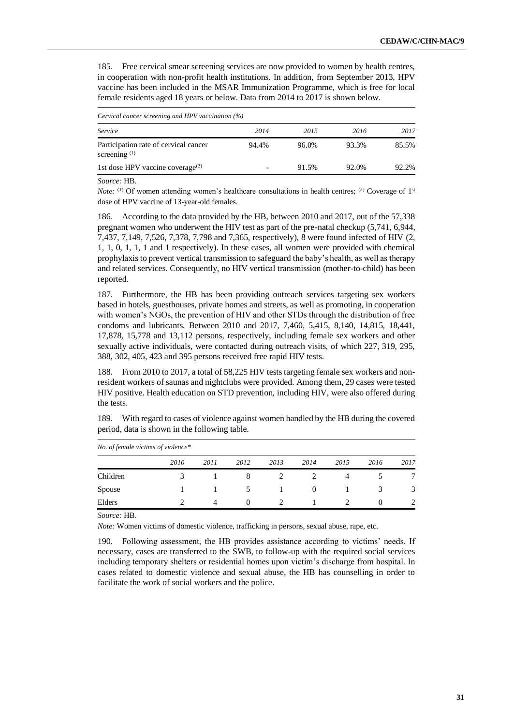185. Free cervical smear screening services are now provided to women by health centres, in cooperation with non-profit health institutions. In addition, from September 2013, HPV vaccine has been included in the MSAR Immunization Programme, which is free for local female residents aged 18 years or below. Data from 2014 to 2017 is shown below.

| Cervical cancer screening and HPV vaccination (%)        |       |       |       |       |  |  |  |  |  |  |  |
|----------------------------------------------------------|-------|-------|-------|-------|--|--|--|--|--|--|--|
| Service                                                  | 2014  | 2015  | 2016  | 2017  |  |  |  |  |  |  |  |
| Participation rate of cervical cancer<br>screening $(1)$ | 94.4% | 96.0% | 93.3% | 85.5% |  |  |  |  |  |  |  |
| 1st dose HPV vaccine coverage <sup>(2)</sup>             |       | 91.5% | 92.0% | 92.2% |  |  |  |  |  |  |  |

*Source:* HB.

*Note:* <sup>(1)</sup> Of women attending women's healthcare consultations in health centres; <sup>(2)</sup> Coverage of 1<sup>st</sup> dose of HPV vaccine of 13-year-old females.

186. According to the data provided by the HB, between 2010 and 2017, out of the 57,338 pregnant women who underwent the HIV test as part of the pre-natal checkup (5,741, 6,944, 7,437, 7,149, 7,526, 7,378, 7,798 and 7,365, respectively), 8 were found infected of HIV (2, 1, 1, 0, 1, 1, 1 and 1 respectively). In these cases, all women were provided with chemical prophylaxis to prevent vertical transmission to safeguard the baby's health, as well as therapy and related services. Consequently, no HIV vertical transmission (mother-to-child) has been reported.

187. Furthermore, the HB has been providing outreach services targeting sex workers based in hotels, guesthouses, private homes and streets, as well as promoting, in cooperation with women's NGOs, the prevention of HIV and other STDs through the distribution of free condoms and lubricants. Between 2010 and 2017, 7,460, 5,415, 8,140, 14,815, 18,441, 17,878, 15,778 and 13,112 persons, respectively, including female sex workers and other sexually active individuals, were contacted during outreach visits, of which 227, 319, 295, 388, 302, 405, 423 and 395 persons received free rapid HIV tests.

188. From 2010 to 2017, a total of 58,225 HIV tests targeting female sex workers and nonresident workers of saunas and nightclubs were provided. Among them, 29 cases were tested HIV positive. Health education on STD prevention, including HIV, were also offered during the tests.

189. With regard to cases of violence against women handled by the HB during the covered period, data is shown in the following table.

| <i>No. of female victims of violence</i> $*$ |      |      |               |      |          |      |          |      |
|----------------------------------------------|------|------|---------------|------|----------|------|----------|------|
|                                              | 2010 | 2011 | 2012          | 2013 | 2014     | 2015 | 2016     | 2017 |
| Children                                     |      |      |               |      |          |      |          | 7    |
| Spouse                                       |      |      | $\mathcal{D}$ |      | $\Omega$ |      |          | 3    |
| Elders                                       |      |      |               |      |          |      | $\theta$ | 2    |

*No. of female victims of violence\** 

*Source:* HB.

*Note:* Women victims of domestic violence, trafficking in persons, sexual abuse, rape, etc.

190. Following assessment, the HB provides assistance according to victims' needs. If necessary, cases are transferred to the SWB, to follow-up with the required social services including temporary shelters or residential homes upon victim's discharge from hospital. In cases related to domestic violence and sexual abuse, the HB has counselling in order to facilitate the work of social workers and the police.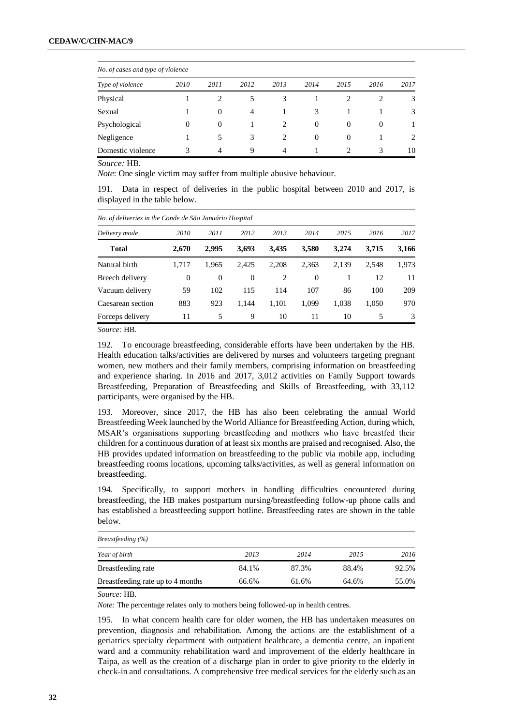|                   | No. of cases and type of violence |                |      |                |          |          |                |      |  |  |  |  |
|-------------------|-----------------------------------|----------------|------|----------------|----------|----------|----------------|------|--|--|--|--|
| Type of violence  | 2010                              | 2011           | 2012 | 2013           | 2014     | 2015     | 2016           | 2017 |  |  |  |  |
| Physical          |                                   |                | 5    | 3              |          |          |                | 3    |  |  |  |  |
| Sexual            |                                   | $\theta$       | 4    |                | 3        |          |                | 3    |  |  |  |  |
| Psychological     | $\Omega$                          | $\theta$       |      | 2              | $\theta$ | $\Omega$ | $\overline{0}$ |      |  |  |  |  |
| Negligence        |                                   | 5              | 3    | 2              | $\Omega$ | $\Omega$ |                | 2    |  |  |  |  |
| Domestic violence | 3                                 | $\overline{4}$ | 9    | $\overline{4}$ |          | 2        | 3              | 10   |  |  |  |  |

*Source:* HB.

*Note*: One single victim may suffer from multiple abusive behaviour.

191. Data in respect of deliveries in the public hospital between 2010 and 2017, is displayed in the table below.

|                   | No. of deliveries in the Conde de São Januário Hospital |          |              |       |          |       |       |       |  |  |  |  |  |
|-------------------|---------------------------------------------------------|----------|--------------|-------|----------|-------|-------|-------|--|--|--|--|--|
| Delivery mode     | 2010                                                    | 2011     | 2012         | 2013  | 2014     | 2015  | 2016  | 2017  |  |  |  |  |  |
| <b>Total</b>      | 2,670                                                   | 2.995    | 3,693        | 3,435 | 3,580    | 3.274 | 3.715 | 3,166 |  |  |  |  |  |
| Natural birth     | 1.717                                                   | 1.965    | 2.425        | 2.208 | 2.363    | 2,139 | 2.548 | 1,973 |  |  |  |  |  |
| Breech delivery   | $\overline{0}$                                          | $\Omega$ | $\mathbf{0}$ | 2     | $\Omega$ |       | 12    | 11    |  |  |  |  |  |
| Vacuum delivery   | 59                                                      | 102      | 115          | 114   | 107      | 86    | 100   | 209   |  |  |  |  |  |
| Caesarean section | 883                                                     | 923      | 1.144        | 1,101 | 1,099    | 1,038 | 1,050 | 970   |  |  |  |  |  |
| Forceps delivery  | 11                                                      | 5        | 9            | 10    | 11       | 10    | 5     | 3     |  |  |  |  |  |

*Source:* HB.

192. To encourage breastfeeding, considerable efforts have been undertaken by the HB. Health education talks/activities are delivered by nurses and volunteers targeting pregnant women, new mothers and their family members, comprising information on breastfeeding and experience sharing. In 2016 and 2017, 3,012 activities on Family Support towards Breastfeeding, Preparation of Breastfeeding and Skills of Breastfeeding, with 33,112 participants, were organised by the HB.

193. Moreover, since 2017, the HB has also been celebrating the annual World Breastfeeding Week launched by the World Alliance for Breastfeeding Action, during which, MSAR's organisations supporting breastfeeding and mothers who have breastfed their children for a continuous duration of at least six months are praised and recognised. Also, the HB provides updated information on breastfeeding to the public via mobile app, including breastfeeding rooms locations, upcoming talks/activities, as well as general information on breastfeeding.

194. Specifically, to support mothers in handling difficulties encountered during breastfeeding, the HB makes postpartum nursing/breastfeeding follow-up phone calls and has established a breastfeeding support hotline. Breastfeeding rates are shown in the table below.

| <i>Breastfeeding</i> $(\%)$       |       |       |       |       |  |  |  |  |  |  |
|-----------------------------------|-------|-------|-------|-------|--|--|--|--|--|--|
| Year of birth                     | 2013  | 2014  | 2015  | 2016  |  |  |  |  |  |  |
| Breastfeeding rate                | 84.1% | 87.3% | 88.4% | 92.5% |  |  |  |  |  |  |
| Breastfeeding rate up to 4 months | 66.6% | 61.6% | 64.6% | 55.0% |  |  |  |  |  |  |

*Source:* HB.

*Note:* The percentage relates only to mothers being followed-up in health centres.

195. In what concern health care for older women, the HB has undertaken measures on prevention, diagnosis and rehabilitation. Among the actions are the establishment of a geriatrics specialty department with outpatient healthcare, a dementia centre, an inpatient ward and a community rehabilitation ward and improvement of the elderly healthcare in Taipa, as well as the creation of a discharge plan in order to give priority to the elderly in check-in and consultations. A comprehensive free medical services for the elderly such as an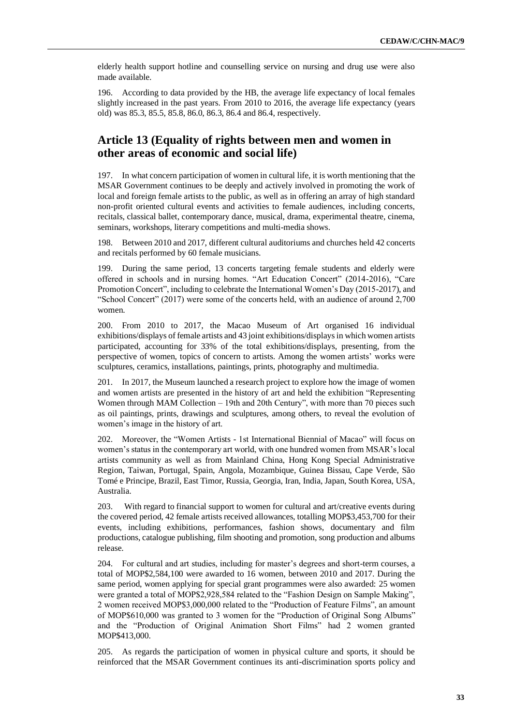elderly health support hotline and counselling service on nursing and drug use were also made available.

196. According to data provided by the HB, the average life expectancy of local females slightly increased in the past years. From 2010 to 2016, the average life expectancy (years old) was 85.3, 85.5, 85.8, 86.0, 86.3, 86.4 and 86.4, respectively.

#### **Article 13 (Equality of rights between men and women in other areas of economic and social life)**

197. In what concern participation of women in cultural life, it is worth mentioning that the MSAR Government continues to be deeply and actively involved in promoting the work of local and foreign female artists to the public, as well as in offering an array of high standard non-profit oriented cultural events and activities to female audiences, including concerts, recitals, classical ballet, contemporary dance, musical, drama, experimental theatre, cinema, seminars, workshops, literary competitions and multi-media shows.

198. Between 2010 and 2017, different cultural auditoriums and churches held 42 concerts and recitals performed by 60 female musicians.

199. During the same period, 13 concerts targeting female students and elderly were offered in schools and in nursing homes. "Art Education Concert" (2014-2016), "Care Promotion Concert", including to celebrate the International Women's Day (2015-2017), and "School Concert" (2017) were some of the concerts held, with an audience of around 2,700 women.

200. From 2010 to 2017, the Macao Museum of Art organised 16 individual exhibitions/displays of female artists and 43 joint exhibitions/displays in which women artists participated, accounting for 33% of the total exhibitions/displays, presenting, from the perspective of women, topics of concern to artists. Among the women artists' works were sculptures, ceramics, installations, paintings, prints, photography and multimedia.

201. In 2017, the Museum launched a research project to explore how the image of women and women artists are presented in the history of art and held the exhibition "Representing Women through MAM Collection – 19th and 20th Century", with more than 70 pieces such as oil paintings, prints, drawings and sculptures, among others, to reveal the evolution of women's image in the history of art.

202. Moreover, the "Women Artists - 1st International Biennial of Macao" will focus on women's status in the contemporary art world, with one hundred women from MSAR's local artists community as well as from Mainland China, Hong Kong Special Administrative Region, Taiwan, Portugal, Spain, Angola, Mozambique, Guinea Bissau, Cape Verde, São Tomé e Principe, Brazil, East Timor, Russia, Georgia, Iran, India, Japan, South Korea, USA, Australia.

203. With regard to financial support to women for cultural and art/creative events during the covered period, 42 female artists received allowances, totalling MOP\$3,453,700 for their events, including exhibitions, performances, fashion shows, documentary and film productions, catalogue publishing, film shooting and promotion, song production and albums release.

204. For cultural and art studies, including for master's degrees and short-term courses, a total of MOP\$2,584,100 were awarded to 16 women, between 2010 and 2017. During the same period, women applying for special grant programmes were also awarded: 25 women were granted a total of MOP\$2,928,584 related to the "Fashion Design on Sample Making", 2 women received MOP\$3,000,000 related to the "Production of Feature Films", an amount of MOP\$610,000 was granted to 3 women for the "Production of Original Song Albums" and the "Production of Original Animation Short Films" had 2 women granted MOP\$413,000.

205. As regards the participation of women in physical culture and sports, it should be reinforced that the MSAR Government continues its anti-discrimination sports policy and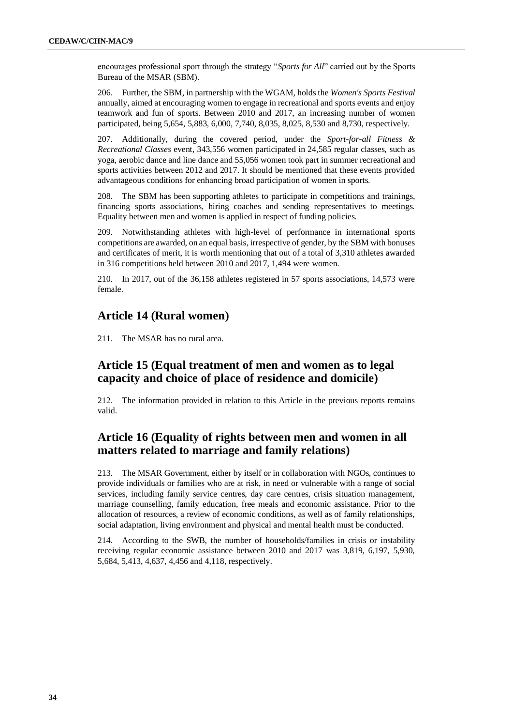encourages professional sport through the strategy "*Sports for All*" carried out by the Sports Bureau of the MSAR (SBM).

206. Further, the SBM, in partnership with the WGAM, holds the *Women's Sports Festival* annually, aimed at encouraging women to engage in recreational and sports events and enjoy teamwork and fun of sports. Between 2010 and 2017, an increasing number of women participated, being 5,654, 5,883, 6,000, 7,740, 8,035, 8,025, 8,530 and 8,730, respectively.

207. Additionally, during the covered period, under the *Sport-for-all Fitness & Recreational Classes* event, 343,556 women participated in 24,585 regular classes, such as yoga, aerobic dance and line dance and 55,056 women took part in summer recreational and sports activities between 2012 and 2017. It should be mentioned that these events provided advantageous conditions for enhancing broad participation of women in sports.

208. The SBM has been supporting athletes to participate in competitions and trainings, financing sports associations, hiring coaches and sending representatives to meetings. Equality between men and women is applied in respect of funding policies.

209. Notwithstanding athletes with high-level of performance in international sports competitions are awarded, on an equal basis, irrespective of gender, by the SBM with bonuses and certificates of merit, it is worth mentioning that out of a total of 3,310 athletes awarded in 316 competitions held between 2010 and 2017, 1,494 were women.

210. In 2017, out of the 36,158 athletes registered in 57 sports associations, 14,573 were female.

#### **Article 14 (Rural women)**

211. The MSAR has no rural area.

# **Article 15 (Equal treatment of men and women as to legal capacity and choice of place of residence and domicile)**

212. The information provided in relation to this Article in the previous reports remains valid.

# **Article 16 (Equality of rights between men and women in all matters related to marriage and family relations)**

213. The MSAR Government, either by itself or in collaboration with NGOs, continues to provide individuals or families who are at risk, in need or vulnerable with a range of social services, including family service centres, day care centres, crisis situation management, marriage counselling, family education, free meals and economic assistance. Prior to the allocation of resources, a review of economic conditions, as well as of family relationships, social adaptation, living environment and physical and mental health must be conducted.

214. According to the SWB, the number of households/families in crisis or instability receiving regular economic assistance between 2010 and 2017 was 3,819, 6,197, 5,930, 5,684, 5,413, 4,637, 4,456 and 4,118, respectively.